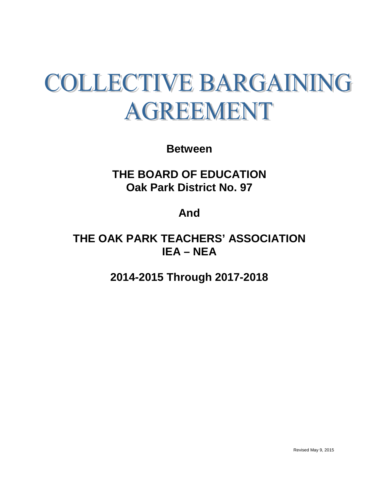# **COLLECTIVE BARGAINING** AGREEMENT

**Between**

**THE BOARD OF EDUCATION Oak Park District No. 97**

**And**

**THE OAK PARK TEACHERS' ASSOCIATION IEA – NEA**

**2014-2015 Through 2017-2018**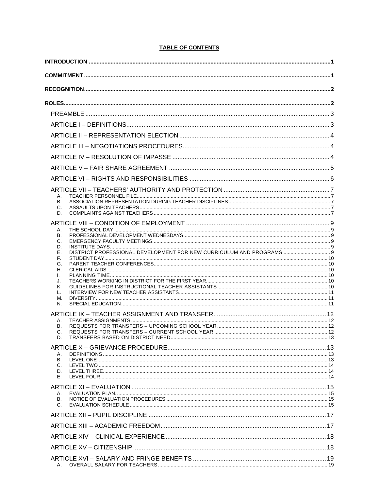# **TABLE OF CONTENTS**

| А.<br>В.                                                                         |  |
|----------------------------------------------------------------------------------|--|
| C.<br>D.                                                                         |  |
|                                                                                  |  |
| А.<br>В.                                                                         |  |
| С.<br>D.                                                                         |  |
| DISTRICT PROFESSIONAL DEVELOPMENT FOR NEW CURRICULUM AND PROGRAMS  9<br>Е.<br>F. |  |
| G.<br>Н.                                                                         |  |
| I.<br>J.                                                                         |  |
| Κ.                                                                               |  |
| L.<br>М.                                                                         |  |
| N.                                                                               |  |
| А.                                                                               |  |
| В.<br>C.                                                                         |  |
| D.                                                                               |  |
| Α.                                                                               |  |
| В.<br>C.                                                                         |  |
| D.<br>Е.                                                                         |  |
|                                                                                  |  |
| А.<br>В.                                                                         |  |
| C.                                                                               |  |
|                                                                                  |  |
|                                                                                  |  |
|                                                                                  |  |
|                                                                                  |  |
|                                                                                  |  |
|                                                                                  |  |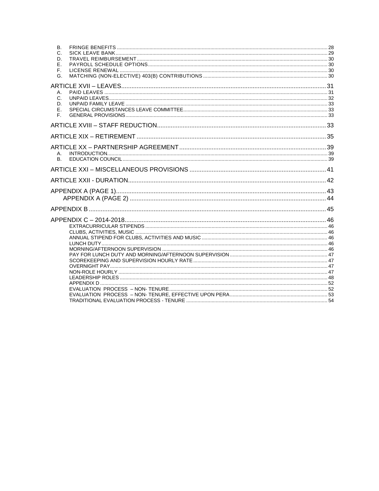| В.              |  |
|-----------------|--|
| C.<br>D.        |  |
| Ε.              |  |
| F.              |  |
| G.              |  |
|                 |  |
|                 |  |
| А.              |  |
| $C_{1}$         |  |
| D.<br>Ε.        |  |
| F.              |  |
|                 |  |
|                 |  |
|                 |  |
|                 |  |
|                 |  |
| А.<br><b>B.</b> |  |
|                 |  |
|                 |  |
|                 |  |
|                 |  |
|                 |  |
|                 |  |
|                 |  |
|                 |  |
|                 |  |
|                 |  |
|                 |  |
|                 |  |
|                 |  |
|                 |  |
|                 |  |
|                 |  |
|                 |  |
|                 |  |
|                 |  |
|                 |  |
|                 |  |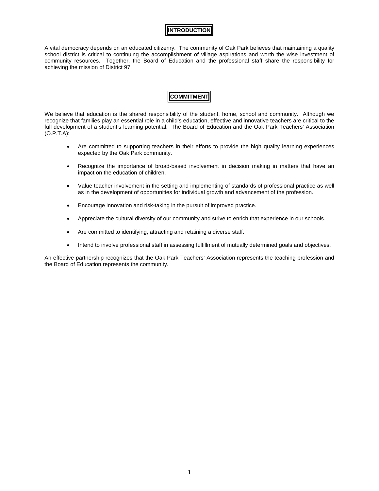# **INTRODUCTION**

<span id="page-3-0"></span>A vital democracy depends on an educated citizenry. The community of Oak Park believes that maintaining a quality school district is critical to continuing the accomplishment of village aspirations and worth the wise investment of community resources. Together, the Board of Education and the professional staff share the responsibility for achieving the mission of District 97.

# **COMMITMENT**

<span id="page-3-1"></span>We believe that education is the shared responsibility of the student, home, school and community. Although we recognize that families play an essential role in a child's education, effective and innovative teachers are critical to the full development of a student's learning potential. The Board of Education and the Oak Park Teachers' Association (O.P.T.A):

- Are committed to supporting teachers in their efforts to provide the high quality learning experiences expected by the Oak Park community.
- Recognize the importance of broad-based involvement in decision making in matters that have an impact on the education of children.
- Value teacher involvement in the setting and implementing of standards of professional practice as well as in the development of opportunities for individual growth and advancement of the profession.
- Encourage innovation and risk-taking in the pursuit of improved practice.
- Appreciate the cultural diversity of our community and strive to enrich that experience in our schools.
- Are committed to identifying, attracting and retaining a diverse staff.
- Intend to involve professional staff in assessing fulfillment of mutually determined goals and objectives.

An effective partnership recognizes that the Oak Park Teachers' Association represents the teaching profession and the Board of Education represents the community.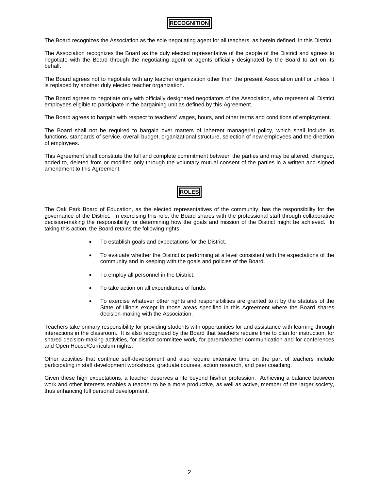# **RECOGNITION**

<span id="page-4-0"></span>The Board recognizes the Association as the sole negotiating agent for all teachers, as herein defined, in this District.

The Association recognizes the Board as the duly elected representative of the people of the District and agrees to negotiate with the Board through the negotiating agent or agents officially designated by the Board to act on its behalf.

The Board agrees not to negotiate with any teacher organization other than the present Association until or unless it is replaced by another duly elected teacher organization.

The Board agrees to negotiate only with officially designated negotiators of the Association, who represent all District employees eligible to participate in the bargaining unit as defined by this Agreement.

The Board agrees to bargain with respect to teachers' wages, hours, and other terms and conditions of employment.

The Board shall not be required to bargain over matters of inherent managerial policy, which shall include its functions, standards of service, overall budget, organizational structure, selection of new employees and the direction of employees.

<span id="page-4-1"></span>This Agreement shall constitute the full and complete commitment between the parties and may be altered, changed, added to, deleted from or modified only through the voluntary mutual consent of the parties in a written and signed amendment to this Agreement.

# **ROLES**

The Oak Park Board of Education, as the elected representatives of the community, has the responsibility for the governance of the District. In exercising this role, the Board shares with the professional staff through collaborative decision-making the responsibility for determining how the goals and mission of the District might be achieved. In taking this action, the Board retains the following rights:

- To establish goals and expectations for the District.
- To evaluate whether the District is performing at a level consistent with the expectations of the community and in keeping with the goals and policies of the Board.
- To employ all personnel in the District.
- To take action on all expenditures of funds.
- To exercise whatever other rights and responsibilities are granted to it by the statutes of the State of Illinois except in those areas specified in this Agreement where the Board shares decision-making with the Association.

Teachers take primary responsibility for providing students with opportunities for and assistance with learning through interactions in the classroom. It is also recognized by the Board that teachers require time to plan for instruction, for shared decision-making activities, for district committee work, for parent/teacher communication and for conferences and Open House/Curriculum nights.

Other activities that continue self-development and also require extensive time on the part of teachers include participating in staff development workshops, graduate courses, action research, and peer coaching.

Given these high expectations, a teacher deserves a life beyond his/her profession. Achieving a balance between work and other interests enables a teacher to be a more productive, as well as active, member of the larger society, thus enhancing full personal development.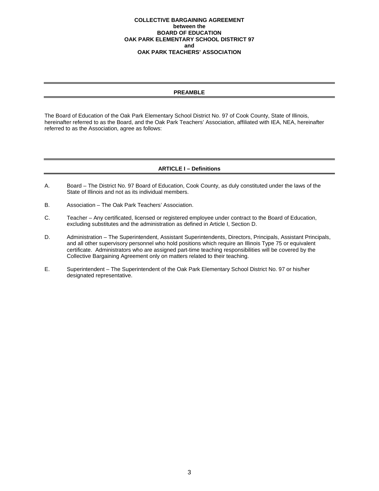#### **COLLECTIVE BARGAINING AGREEMENT between the BOARD OF EDUCATION OAK PARK ELEMENTARY SCHOOL DISTRICT 97 and OAK PARK TEACHERS' ASSOCIATION**

# **PREAMBLE**

<span id="page-5-0"></span>The Board of Education of the Oak Park Elementary School District No. 97 of Cook County, State of Illinois, hereinafter referred to as the Board, and the Oak Park Teachers' Association, affiliated with IEA, NEA, hereinafter referred to as the Association, agree as follows:

# **ARTICLE I – Definitions**

- <span id="page-5-1"></span>A. Board – The District No. 97 Board of Education, Cook County, as duly constituted under the laws of the State of Illinois and not as its individual members.
- B. Association The Oak Park Teachers' Association.
- C. Teacher Any certificated, licensed or registered employee under contract to the Board of Education, excluding substitutes and the administration as defined in Article I, Section D.
- D. Administration The Superintendent, Assistant Superintendents, Directors, Principals, Assistant Principals, and all other supervisory personnel who hold positions which require an Illinois Type 75 or equivalent certificate. Administrators who are assigned part-time teaching responsibilities will be covered by the Collective Bargaining Agreement only on matters related to their teaching.
- E. Superintendent The Superintendent of the Oak Park Elementary School District No. 97 or his/her designated representative.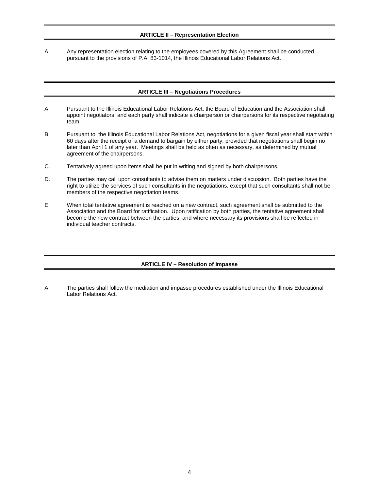# **ARTICLE II – Representation Election**

<span id="page-6-1"></span><span id="page-6-0"></span>A. Any representation election relating to the employees covered by this Agreement shall be conducted pursuant to the provisions of P.A. 83-1014, the Illinois Educational Labor Relations Act.

# **ARTICLE III – Negotiations Procedures**

- A. Pursuant to the Illinois Educational Labor Relations Act, the Board of Education and the Association shall appoint negotiators, and each party shall indicate a chairperson or chairpersons for its respective negotiating team.
- B. Pursuant to the Illinois Educational Labor Relations Act, negotiations for a given fiscal year shall start within 60 days after the receipt of a demand to bargain by either party, provided that negotiations shall begin no later than April 1 of any year. Meetings shall be held as often as necessary, as determined by mutual agreement of the chairpersons.
- C. Tentatively agreed upon items shall be put in writing and signed by both chairpersons.
- D. The parties may call upon consultants to advise them on matters under discussion. Both parties have the right to utilize the services of such consultants in the negotiations, except that such consultants shall not be members of the respective negotiation teams.
- E. When total tentative agreement is reached on a new contract, such agreement shall be submitted to the Association and the Board for ratification. Upon ratification by both parties, the tentative agreement shall become the new contract between the parties, and where necessary its provisions shall be reflected in individual teacher contracts.

# **ARTICLE IV – Resolution of Impasse**

<span id="page-6-2"></span>A. The parties shall follow the mediation and impasse procedures established under the Illinois Educational Labor Relations Act.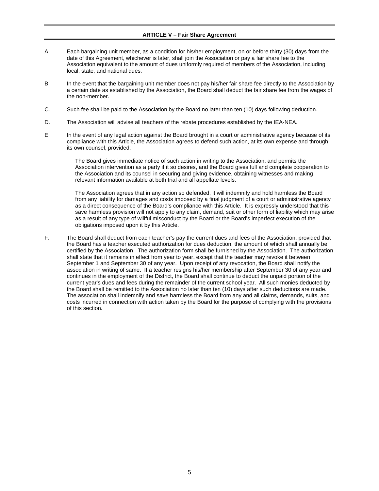#### **ARTICLE V – Fair Share Agreement**

- <span id="page-7-0"></span>A. Each bargaining unit member, as a condition for his/her employment, on or before thirty (30) days from the date of this Agreement, whichever is later, shall join the Association or pay a fair share fee to the Association equivalent to the amount of dues uniformly required of members of the Association, including local, state, and national dues.
- B. In the event that the bargaining unit member does not pay his/her fair share fee directly to the Association by a certain date as established by the Association, the Board shall deduct the fair share fee from the wages of the non-member.
- C. Such fee shall be paid to the Association by the Board no later than ten (10) days following deduction.
- D. The Association will advise all teachers of the rebate procedures established by the IEA-NEA.
- E. In the event of any legal action against the Board brought in a court or administrative agency because of its compliance with this Article, the Association agrees to defend such action, at its own expense and through its own counsel, provided:

The Board gives immediate notice of such action in writing to the Association, and permits the Association intervention as a party if it so desires, and the Board gives full and complete cooperation to the Association and its counsel in securing and giving evidence, obtaining witnesses and making relevant information available at both trial and all appellate levels.

The Association agrees that in any action so defended, it will indemnify and hold harmless the Board from any liability for damages and costs imposed by a final judgment of a court or administrative agency as a direct consequence of the Board's compliance with this Article. It is expressly understood that this save harmless provision will not apply to any claim, demand, suit or other form of liability which may arise as a result of any type of willful misconduct by the Board or the Board's imperfect execution of the obligations imposed upon it by this Article.

F. The Board shall deduct from each teacher's pay the current dues and fees of the Association, provided that the Board has a teacher executed authorization for dues deduction, the amount of which shall annually be certified by the Association. The authorization form shall be furnished by the Association. The authorization shall state that it remains in effect from year to year, except that the teacher may revoke it between September 1 and September 30 of any year. Upon receipt of any revocation, the Board shall notify the association in writing of same. If a teacher resigns his/her membership after September 30 of any year and continues in the employment of the District, the Board shall continue to deduct the unpaid portion of the current year's dues and fees during the remainder of the current school year. All such monies deducted by the Board shall be remitted to the Association no later than ten (10) days after such deductions are made. The association shall indemnify and save harmless the Board from any and all claims, demands, suits, and costs incurred in connection with action taken by the Board for the purpose of complying with the provisions of this section.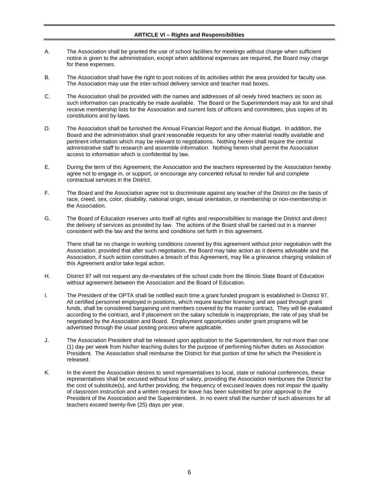# **ARTICLE VI – Rights and Responsibilities**

- <span id="page-8-0"></span>A. The Association shall be granted the use of school facilities for meetings without charge when sufficient notice is given to the administration, except when additional expenses are required, the Board may charge for these expenses.
- B. The Association shall have the right to post notices of its activities within the area provided for faculty use. The Association may use the inter-school delivery service and teacher mail boxes.
- C. The Association shall be provided with the names and addresses of all newly hired teachers as soon as such information can practicably be made available. The Board or the Superintendent may ask for and shall receive membership lists for the Association and current lists of officers and committees, plus copies of its constitutions and by-laws.
- D. The Association shall be furnished the Annual Financial Report and the Annual Budget. In addition, the Board and the administration shall grant reasonable requests for any other material readily available and pertinent information which may be relevant to negotiations. Nothing herein shall require the central administrative staff to research and assemble information. Nothing herein shall permit the Association access to information which is confidential by law.
- E. During the term of this Agreement, the Association and the teachers represented by the Association hereby agree not to engage in, or support, or encourage any concerted refusal to render full and complete contractual services in the District.
- F. The Board and the Association agree not to discriminate against any teacher of the District on the basis of race, creed, sex, color, disability, national origin, sexual orientation, or membership or non-membership in the Association.
- G. The Board of Education reserves unto itself all rights and responsibilities to manage the District and direct the delivery of services as provided by law. The actions of the Board shall be carried out in a manner consistent with the law and the terms and conditions set forth in this agreement.

There shall be no change in working conditions covered by this agreement without prior negotiation with the Association, provided that after such negotiation, the Board may take action as it deems advisable and the Association, if such action constitutes a breach of this Agreement, may file a grievance charging violation of this Agreement and/or take legal action.

- H. District 97 will not request any de-mandates of the school code from the Illinois State Board of Education without agreement between the Association and the Board of Education.
- I. The President of the OPTA shall be notified each time a grant funded program is established in District 97. All certified personnel employed in positions, which require teacher licensing and are paid through grant funds, shall be considered bargaining unit members covered by the master contract. They will be evaluated according to the contract, and if placement on the salary schedule is inappropriate, the rate of pay shall be negotiated by the Association and Board. Employment opportunities under grant programs will be advertised through the usual posting process where applicable.
- J. The Association President shall be released upon application to the Superintendent, for not more than one (1) day per week from his/her teaching duties for the purpose of performing his/her duties as Association President. The Association shall reimburse the District for that portion of time for which the President is released.
- K. In the event the Association desires to send representatives to local, state or national conferences, these representatives shall be excused without loss of salary, providing the Association reimburses the District for the cost of substitute(s), and further providing, the frequency of excused leaves does not impair the quality of classroom instruction and a written request for leave has been submitted for prior approval to the President of the Association and the Superintendent. In no event shall the number of such absences for all teachers exceed twenty-five (25) days per year.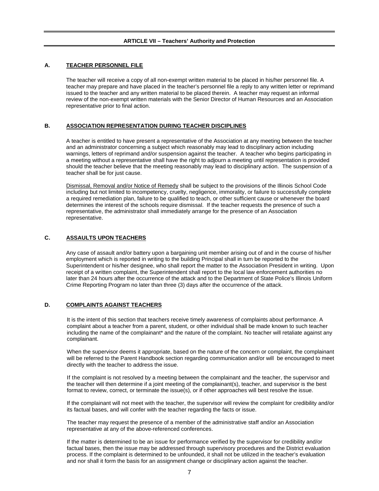#### <span id="page-9-1"></span><span id="page-9-0"></span>**A. TEACHER PERSONNEL FILE**

The teacher will receive a copy of all non-exempt written material to be placed in his/her personnel file. A teacher may prepare and have placed in the teacher's personnel file a reply to any written letter or reprimand issued to the teacher and any written material to be placed therein. A teacher may request an informal review of the non-exempt written materials with the Senior Director of Human Resources and an Association representative prior to final action.

#### <span id="page-9-2"></span>**B. ASSOCIATION REPRESENTATION DURING TEACHER DISCIPLINES**

A teacher is entitled to have present a representative of the Association at any meeting between the teacher and an administrator concerning a subject which reasonably may lead to disciplinary action including warnings, letters of reprimand and/or suspension against the teacher. A teacher who begins participating in a meeting without a representative shall have the right to adjourn a meeting until representation is provided should the teacher believe that the meeting reasonably may lead to disciplinary action. The suspension of a teacher shall be for just cause.

Dismissal, Removal and/or Notice of Remedy shall be subject to the provisions of the Illinois School Code including but not limited to incompetency, cruelty, negligence, immorality, or failure to successfully complete a required remediation plan, failure to be qualified to teach, or other sufficient cause or whenever the board determines the interest of the schools require dismissal. If the teacher requests the presence of such a representative, the administrator shall immediately arrange for the presence of an Association representative.

#### <span id="page-9-3"></span>**C. ASSAULTS UPON TEACHERS**

Any case of assault and/or battery upon a bargaining unit member arising out of and in the course of his/her employment which is reported in writing to the building Principal shall in turn be reported to the Superintendent or his/her designee, who shall report the matter to the Association President in writing. Upon receipt of a written complaint, the Superintendent shall report to the local law enforcement authorities no later than 24 hours after the occurrence of the attack and to the Department of State Police's Illinois Uniform Crime Reporting Program no later than three (3) days after the occurrence of the attack.

# <span id="page-9-4"></span>**D. COMPLAINTS AGAINST TEACHERS**

It is the intent of this section that teachers receive timely awareness of complaints about performance. A complaint about a teacher from a parent, student, or other individual shall be made known to such teacher including the name of the complainant\* and the nature of the complaint. No teacher will retaliate against any complainant.

When the supervisor deems it appropriate, based on the nature of the concern or complaint, the complainant will be referred to the Parent Handbook section regarding communication and/or will be encouraged to meet directly with the teacher to address the issue.

If the complaint is not resolved by a meeting between the complainant and the teacher, the supervisor and the teacher will then determine if a joint meeting of the complainant(s), teacher, and supervisor is the best format to review, correct, or terminate the issue(s), or if other approaches will best resolve the issue.

If the complainant will not meet with the teacher, the supervisor will review the complaint for credibility and/or its factual bases, and will confer with the teacher regarding the facts or issue.

The teacher may request the presence of a member of the administrative staff and/or an Association representative at any of the above-referenced conferences.

If the matter is determined to be an issue for performance verified by the supervisor for credibility and/or factual bases, then the issue may be addressed through supervisory procedures and the District evaluation process. If the complaint is determined to be unfounded, it shall not be utilized in the teacher's evaluation and nor shall it form the basis for an assignment change or disciplinary action against the teacher.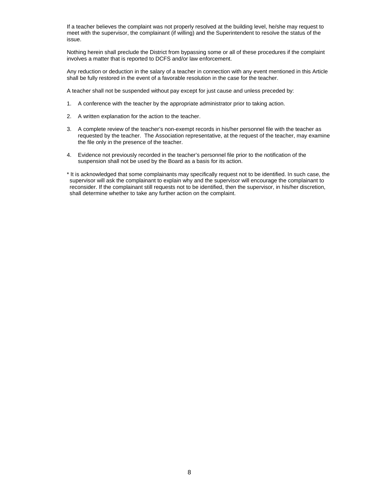If a teacher believes the complaint was not properly resolved at the building level, he/she may request to meet with the supervisor, the complainant (if willing) and the Superintendent to resolve the status of the issue.

Nothing herein shall preclude the District from bypassing some or all of these procedures if the complaint involves a matter that is reported to DCFS and/or law enforcement.

Any reduction or deduction in the salary of a teacher in connection with any event mentioned in this Article shall be fully restored in the event of a favorable resolution in the case for the teacher.

A teacher shall not be suspended without pay except for just cause and unless preceded by:

- 1. A conference with the teacher by the appropriate administrator prior to taking action.
- 2. A written explanation for the action to the teacher.
- 3. A complete review of the teacher's non-exempt records in his/her personnel file with the teacher as requested by the teacher. The Association representative, at the request of the teacher, may examine the file only in the presence of the teacher.
- 4. Evidence not previously recorded in the teacher's personnel file prior to the notification of the suspension shall not be used by the Board as a basis for its action.

\* It is acknowledged that some complainants may specifically request not to be identified. In such case, the supervisor will ask the complainant to explain why and the supervisor will encourage the complainant to reconsider. If the complainant still requests not to be identified, then the supervisor, in his/her discretion, shall determine whether to take any further action on the complaint.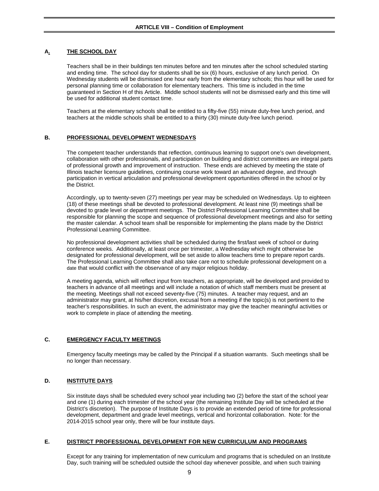# <span id="page-11-1"></span><span id="page-11-0"></span>**A. THE SCHOOL DAY**

Teachers shall be in their buildings ten minutes before and ten minutes after the school scheduled starting and ending time. The school day for students shall be six (6) hours, exclusive of any lunch period. On Wednesday students will be dismissed one hour early from the elementary schools; this hour will be used for personal planning time or collaboration for elementary teachers. This time is included in the time guaranteed in Section H of this Article. Middle school students will not be dismissed early and this time will be used for additional student contact time.

Teachers at the elementary schools shall be entitled to a fifty-five (55) minute duty-free lunch period, and teachers at the middle schools shall be entitled to a thirty (30) minute duty-free lunch period.

#### <span id="page-11-2"></span>**B. PROFESSIONAL DEVELOPMENT WEDNESDAYS**

The competent teacher understands that reflection, continuous learning to support one's own development, collaboration with other professionals, and participation on building and district committees are integral parts of professional growth and improvement of instruction. These ends are achieved by meeting the state of Illinois teacher licensure guidelines, continuing course work toward an advanced degree, and through participation in vertical articulation and professional development opportunities offered in the school or by the District.

Accordingly, up to twenty-seven (27) meetings per year may be scheduled on Wednesdays. Up to eighteen (18) of these meetings shall be devoted to professional development. At least nine (9) meetings shall be devoted to grade level or department meetings. The District Professional Learning Committee shall be responsible for planning the scope and sequence of professional development meetings and also for setting the master calendar. A school team shall be responsible for implementing the plans made by the District Professional Learning Committee.

No professional development activities shall be scheduled during the first/last week of school or during conference weeks. Additionally, at least once per trimester, a Wednesday which might otherwise be designated for professional development, will be set aside to allow teachers time to prepare report cards. The Professional Learning Committee shall also take care not to schedule professional development on a date that would conflict with the observance of any major religious holiday.

A meeting agenda, which will reflect input from teachers, as appropriate, will be developed and provided to teachers in advance of all meetings and will include a notation of which staff members must be present at the meeting. Meetings shall not exceed seventy-five (75) minutes. A teacher may request, and an administrator may grant, at his/her discretion, excusal from a meeting if the topic(s) is not pertinent to the teacher's responsibilities. In such an event, the administrator may give the teacher meaningful activities or work to complete in place of attending the meeting.

# <span id="page-11-3"></span>**C. EMERGENCY FACULTY MEETINGS**

Emergency faculty meetings may be called by the Principal if a situation warrants. Such meetings shall be no longer than necessary.

#### <span id="page-11-4"></span>**D. INSTITUTE DAYS**

Six institute days shall be scheduled every school year including two (2) before the start of the school year and one (1) during each trimester of the school year (the remaining Institute Day will be scheduled at the District's discretion). The purpose of Institute Days is to provide an extended period of time for professional development, department and grade level meetings, vertical and horizontal collaboration. Note: for the 2014-2015 school year only, there will be four institute days.

#### <span id="page-11-5"></span>**E. DISTRICT PROFESSIONAL DEVELOPMENT FOR NEW CURRICULUM AND PROGRAMS**

Except for any training for implementation of new curriculum and programs that is scheduled on an Institute Day, such training will be scheduled outside the school day whenever possible, and when such training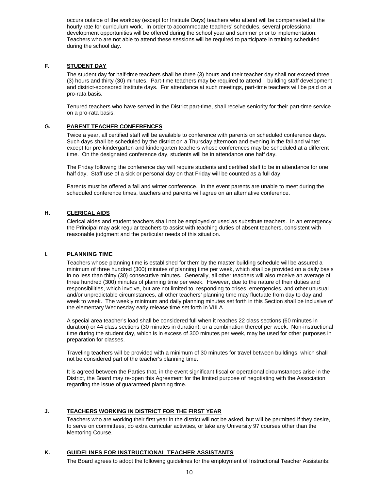occurs outside of the workday (except for Institute Days) teachers who attend will be compensated at the hourly rate for curriculum work. In order to accommodate teachers' schedules, several professional development opportunities will be offered during the school year and summer prior to implementation. Teachers who are not able to attend these sessions will be required to participate in training scheduled during the school day.

# <span id="page-12-0"></span>**F. STUDENT DAY**

The student day for half-time teachers shall be three (3) hours and their teacher day shall not exceed three (3) hours and thirty (30) minutes. Part-time teachers may be required to attend building staff development and district-sponsored Institute days. For attendance at such meetings, part-time teachers will be paid on a pro-rata basis.

Tenured teachers who have served in the District part-time, shall receive seniority for their part-time service on a pro-rata basis.

# <span id="page-12-1"></span>**G. PARENT TEACHER CONFERENCES**

Twice a year, all certified staff will be available to conference with parents on scheduled conference days. Such days shall be scheduled by the district on a Thursday afternoon and evening in the fall and winter, except for pre-kindergarten and kindergarten teachers whose conferences may be scheduled at a different time. On the designated conference day, students will be in attendance one half day.

The Friday following the conference day will require students and certified staff to be in attendance for one half day. Staff use of a sick or personal day on that Friday will be counted as a full day.

Parents must be offered a fall and winter conference. In the event parents are unable to meet during the scheduled conference times, teachers and parents will agree on an alternative conference.

#### <span id="page-12-2"></span>**H. CLERICAL AIDS**

Clerical aides and student teachers shall not be employed or used as substitute teachers. In an emergency the Principal may ask regular teachers to assist with teaching duties of absent teachers, consistent with reasonable judgment and the particular needs of this situation.

#### <span id="page-12-3"></span>**I. PLANNING TIME**

Teachers whose planning time is established for them by the master building schedule will be assured a minimum of three hundred (300) minutes of planning time per week, which shall be provided on a daily basis in no less than thirty (30) consecutive minutes. Generally, all other teachers will also receive an average of three hundred (300) minutes of planning time per week. However, due to the nature of their duties and responsibilities, which involve, but are not limited to, responding to crises, emergencies, and other unusual and/or unpredictable circumstances, all other teachers' planning time may fluctuate from day to day and week to week. The weekly minimum and daily planning minutes set forth in this Section shall be inclusive of the elementary Wednesday early release time set forth in VIII.A.

A special area teacher's load shall be considered full when it reaches 22 class sections (60 minutes in duration) or 44 class sections (30 minutes in duration), or a combination thereof per week. Non-instructional time during the student day, which is in excess of 300 minutes per week, may be used for other purposes in preparation for classes.

Traveling teachers will be provided with a minimum of 30 minutes for travel between buildings, which shall not be considered part of the teacher's planning time.

It is agreed between the Parties that, in the event significant fiscal or operational circumstances arise in the District, the Board may re-open this Agreement for the limited purpose of negotiating with the Association regarding the issue of guaranteed planning time.

#### <span id="page-12-4"></span>**J. TEACHERS WORKING IN DISTRICT FOR THE FIRST YEAR**

Teachers who are working their first year in the district will not be asked, but will be permitted if they desire, to serve on committees, do extra curricular activities, or take any University 97 courses other than the Mentoring Course.

# <span id="page-12-5"></span>**K. GUIDELINES FOR INSTRUCTIONAL TEACHER ASSISTANTS**

The Board agrees to adopt the following guidelines for the employment of Instructional Teacher Assistants: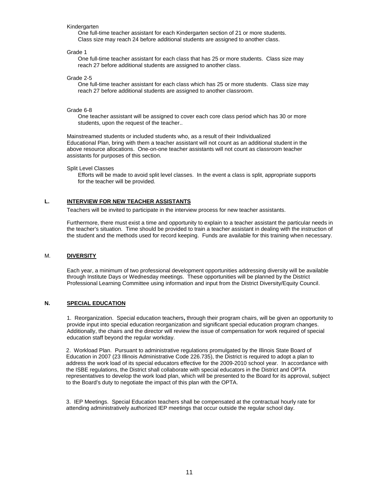#### **Kindergarten**

One full-time teacher assistant for each Kindergarten section of 21 or more students. Class size may reach 24 before additional students are assigned to another class.

Grade 1

One full-time teacher assistant for each class that has 25 or more students. Class size may reach 27 before additional students are assigned to another class.

Grade 2-5

One full-time teacher assistant for each class which has 25 or more students. Class size may reach 27 before additional students are assigned to another classroom.

#### Grade 6-8

One teacher assistant will be assigned to cover each core class period which has 30 or more students, upon the request of the teacher..

Mainstreamed students or included students who, as a result of their Individualized Educational Plan, bring with them a teacher assistant will not count as an additional student in the above resource allocations. One-on-one teacher assistants will not count as classroom teacher assistants for purposes of this section.

#### Split Level Classes

Efforts will be made to avoid split level classes. In the event a class is split, appropriate supports for the teacher will be provided.

# <span id="page-13-0"></span>**L. INTERVIEW FOR NEW TEACHER ASSISTANTS**

Teachers will be invited to participate in the interview process for new teacher assistants.

Furthermore, there must exist a time and opportunity to explain to a teacher assistant the particular needs in the teacher's situation. Time should be provided to train a teacher assistant in dealing with the instruction of the student and the methods used for record keeping. Funds are available for this training when necessary.

#### <span id="page-13-1"></span>M. **DIVERSITY**

Each year, a minimum of two professional development opportunities addressing diversity will be available through Institute Days or Wednesday meetings. These opportunities will be planned by the District Professional Learning Committee using information and input from the District Diversity/Equity Council.

# <span id="page-13-2"></span>**N. SPECIAL EDUCATION**

1. Reorganization. Special education teachers**,** through their program chairs, will be given an opportunity to provide input into special education reorganization and significant special education program changes. Additionally, the chairs and the director will review the issue of compensation for work required of special education staff beyond the regular workday.

2. Workload Plan. Pursuant to administrative regulations promulgated by the Illinois State Board of Education in 2007 (23 Illinois Administrative Code 226.735), the District is required to adopt a plan to address the work load of its special educators effective for the 2009-2010 school year. In accordance with the ISBE regulations, the District shall collaborate with special educators in the District and OPTA representatives to develop the work load plan, which will be presented to the Board for its approval, subject to the Board's duty to negotiate the impact of this plan with the OPTA.

3. IEP Meetings. Special Education teachers shall be compensated at the contractual hourly rate for attending administratively authorized IEP meetings that occur outside the regular school day.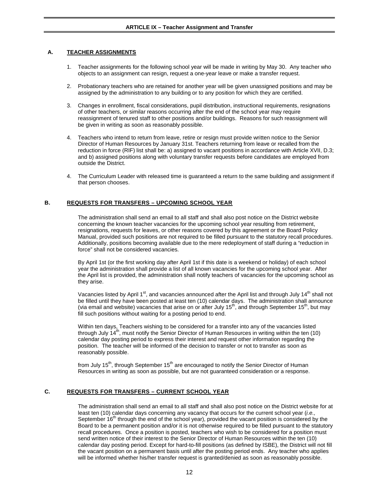#### <span id="page-14-1"></span><span id="page-14-0"></span>**A. TEACHER ASSIGNMENTS**

- 1. Teacher assignments for the following school year will be made in writing by May 30. Any teacher who objects to an assignment can resign, request a one-year leave or make a transfer request.
- 2. Probationary teachers who are retained for another year will be given unassigned positions and may be assigned by the administration to any building or to any position for which they are certified.
- 3. Changes in enrollment, fiscal considerations, pupil distribution, instructional requirements, resignations of other teachers, or similar reasons occurring after the end of the school year may require reassignment of tenured staff to other positions and/or buildings. Reasons for such reassignment will be given in writing as soon as reasonably possible.
- 4. Teachers who intend to return from leave, retire or resign must provide written notice to the Senior Director of Human Resources by January 31st. Teachers returning from leave or recalled from the reduction in force (RIF) list shall be: a) assigned to vacant positions in accordance with Article XVII, D.3; and b) assigned positions along with voluntary transfer requests before candidates are employed from outside the District.
- 4. The Curriculum Leader with released time is guaranteed a return to the same building and assignment if that person chooses.

# <span id="page-14-2"></span>**B. REQUESTS FOR TRANSFERS – UPCOMING SCHOOL YEAR**

The administration shall send an email to all staff and shall also post notice on the District website concerning the known teacher vacancies for the upcoming school year resulting from retirement, resignations, requests for leaves, or other reasons covered by this agreement or the Board Policy Manual, provided such positions are not required to be filled pursuant to the statutory recall procedures. Additionally, positions becoming available due to the mere redeployment of staff during a "reduction in force" shall not be considered vacancies.

By April 1st (or the first working day after April 1st if this date is a weekend or holiday) of each school year the administration shall provide a list of all known vacancies for the upcoming school year. After the April list is provided, the administration shall notify teachers of vacancies for the upcoming school as they arise.

Vacancies listed by April 1<sup>st</sup>, and vacancies announced after the April list and through July 14<sup>th</sup> shall not be filled until they have been posted at least ten (10) calendar days. The administration shall announce (via email and website) vacancies that arise on or after July  $15<sup>th</sup>$ , and through September  $15<sup>th</sup>$ , but may fill such positions without waiting for a posting period to end.

Within ten days, Teachers wishing to be considered for a transfer into any of the vacancies listed through July  $14<sup>th</sup>$ , must notify the Senior Director of Human Resources in writing within the ten (10) calendar day posting period to express their interest and request other information regarding the position. The teacher will be informed of the decision to transfer or not to transfer as soon as reasonably possible.

from July 15<sup>th</sup>, through September 15<sup>th</sup> are encouraged to notify the Senior Director of Human Resources in writing as soon as possible, but are not guaranteed consideration or a response.

#### <span id="page-14-3"></span>**C. REQUESTS FOR TRANSFERS – CURRENT SCHOOL YEAR**

The administration shall send an email to all staff and shall also post notice on the District website for at least ten (10) calendar days concerning any vacancy that occurs for the current school year (*i.e.,*  September  $16<sup>th</sup>$  through the end of the school year), provided the vacant position is considered by the Board to be a permanent position and/or it is not otherwise required to be filled pursuant to the statutory recall procedures. Once a position is posted, teachers who wish to be considered for a position must send written notice of their interest to the Senior Director of Human Resources within the ten (10) calendar day posting period. Except for hard-to-fill positions (as defined by ISBE), the District will not fill the vacant position on a permanent basis until after the posting period ends. Any teacher who applies will be informed whether his/her transfer request is granted/denied as soon as reasonably possible.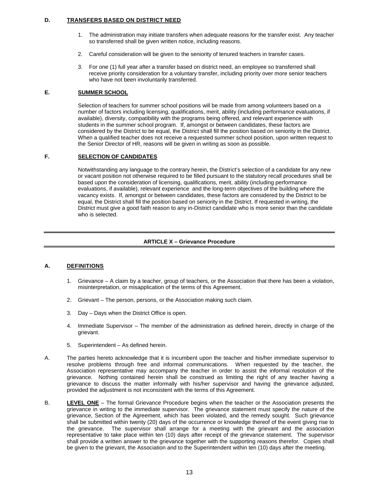# <span id="page-15-0"></span>**D. TRANSFERS BASED ON DISTRICT NEED**

- 1. The administration may initiate transfers when adequate reasons for the transfer exist. Any teacher so transferred shall be given written notice, including reasons.
- 2. Careful consideration will be given to the seniority of tenured teachers in transfer cases.
- 3. For one (1) full year after a transfer based on district need, an employee so transferred shall receive priority consideration for a voluntary transfer, including priority over more senior teachers who have not been involuntarily transferred.

# **E. SUMMER SCHOOL**

Selection of teachers for summer school positions will be made from among volunteers based on a number of factors including licensing, qualifications, merit, ability (including performance evaluations, if available), diversity, compatibility with the programs being offered, and relevant experience with students in the summer school program. If, amongst or between candidates, these factors are considered by the District to be equal, the District shall fill the position based on seniority in the District. When a qualified teacher does not receive a requested summer school position, upon written request to the Senior Director of HR, reasons will be given in writing as soon as possible.

# **F. SELECTION OF CANDIDATES**

Notwithstanding any language to the contrary herein, the District's selection of a candidate for any new or vacant position not otherwise required to be filled pursuant to the statutory recall procedures shall be based upon the consideration of licensing, qualifications, merit, ability (including performance evaluations, if available), relevant experience and the long-term objectives of the building where the vacancy exists. If, amongst or between candidates, these factors are considered by the District to be equal, the District shall fill the position based on seniority in the District. If requested in writing, the District must give a good faith reason to any in-District candidate who is more senior than the candidate who is selected.

# **ARTICLE X – Grievance Procedure**

# <span id="page-15-2"></span><span id="page-15-1"></span>**A. DEFINITIONS**

- 1. Grievance A claim by a teacher, group of teachers, or the Association that there has been a violation, misinterpretation, or misapplication of the terms of this Agreement.
- 2. Grievant The person, persons, or the Association making such claim.
- 3. Day Days when the District Office is open.
- 4. Immediate Supervisor The member of the administration as defined herein, directly in charge of the grievant.
- 5. Superintendent As defined herein.
- A. The parties hereto acknowledge that it is incumbent upon the teacher and his/her immediate supervisor to resolve problems through free and informal communications. When requested by the teacher, the Association representative may accompany the teacher in order to assist the informal resolution of the grievance. Nothing contained herein shall be construed as limiting the right of any teacher having a grievance to discuss the matter informally with his/her supervisor and having the grievance adjusted, provided the adjustment is not inconsistent with the terms of this Agreement.
- <span id="page-15-3"></span>B. **LEVEL ONE** – The formal Grievance Procedure begins when the teacher or the Association presents the grievance in writing to the immediate supervisor. The grievance statement must specify the nature of the grievance, Section of the Agreement, which has been violated, and the remedy sought. Such grievance shall be submitted within twenty (20) days of the occurrence or knowledge thereof of the event giving rise to the grievance. The supervisor shall arrange for a meeting with the grievant and the association representative to take place within ten (10) days after receipt of the grievance statement. The supervisor shall provide a written answer to the grievance together with the supporting reasons therefor. Copies shall be given to the grievant, the Association and to the Superintendent within ten (10) days after the meeting.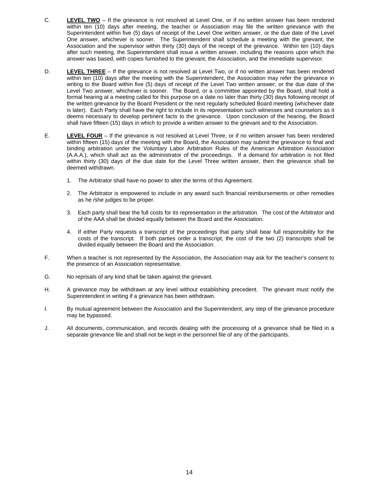- <span id="page-16-0"></span>C. **LEVEL TWO** – If the grievance is not resolved at Level One, or if no written answer has been rendered within ten (10) days after meeting, the teacher or Association may file the written grievance with the Superintendent within five (5) days of receipt of the Level One written answer, or the due date of the Level One answer, whichever is sooner. The Superintendent shall schedule a meeting with the grievant, the Association and the supervisor within thirty (30) days of the receipt of the grievance. Within ten (10) days after such meeting, the Superintendent shall issue a written answer, including the reasons upon which the answer was based, with copies furnished to the grievant, the Association, and the immediate supervisor.
- <span id="page-16-1"></span>D. **LEVEL THREE** – If the grievance is not resolved at Level Two, or if no written answer has been rendered within ten (10) days after the meeting with the Superintendent, the Association may refer the grievance in writing to the Board within five (5) days of receipt of the Level Two written answer, or the due date of the Level Two answer, whichever is sooner. The Board, or a committee appointed by the Board, shall hold a formal hearing at a meeting called for this purpose on a date no later than thirty (30) days following receipt of the written grievance by the Board President or the next regularly scheduled Board meeting (whichever date is later). Each Party shall have the right to include in its representation such witnesses and counselors as it deems necessary to develop pertinent facts to the grievance. Upon conclusion of the hearing, the Board shall have fifteen (15) days in which to provide a written answer to the grievant and to the Association.
- <span id="page-16-2"></span>E. **LEVEL FOUR** – If the grievance is not resolved at Level Three, or if no written answer has been rendered within fifteen (15) days of the meeting with the Board, the Association may submit the grievance to final and binding arbitration under the Voluntary Labor Arbitration Rules of the American Arbitration Association (A.A.A.), which shall act as the administrator of the proceedings. If a demand for arbitration is not filed within thirty (30) days of the due date for the Level Three written answer, then the grievance shall be deemed withdrawn.
	- 1. The Arbitrator shall have no power to alter the terms of this Agreement.
	- 2. The Arbitrator is empowered to include in any award such financial reimbursements or other remedies as he /she judges to be proper.
	- 3. Each party shall bear the full costs for its representation in the arbitration. The cost of the Arbitrator and of the AAA shall be divided equally between the Board and the Association.
	- 4. If either Party requests a transcript of the proceedings that party shall bear full responsibility for the costs of the transcript. If both parties order a transcript, the cost of the two (2) transcripts shall be divided equally between the Board and the Association.
- F. When a teacher is not represented by the Association, the Association may ask for the teacher's consent to the presence of an Association representative.
- G. No reprisals of any kind shall be taken against the grievant.
- H. A grievance may be withdrawn at any level without establishing precedent. The grievant must notify the Superintendent in writing if a grievance has been withdrawn.
- I. By mutual agreement between the Association and the Superintendent, any step of the grievance procedure may be bypassed.
- J. All documents, communication, and records dealing with the processing of a grievance shall be filed in a separate grievance file and shall not be kept in the personnel file of any of the participants.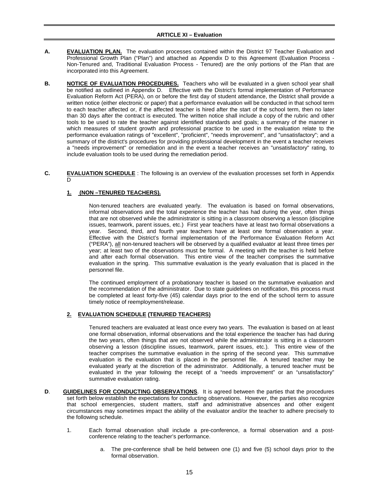# **ARTICLE XI – Evaluation**

- <span id="page-17-1"></span><span id="page-17-0"></span>**A. EVALUATION PLAN.** The evaluation processes contained within the District 97 Teacher Evaluation and Professional Growth Plan ("Plan") and attached as Appendix D to this Agreement (Evaluation Process - Non-Tenured and, Traditional Evaluation Process - Tenured) are the only portions of the Plan that are incorporated into this Agreement.
- <span id="page-17-2"></span>**B. NOTICE OF EVALUATION PROCEDURES.** Teachers who will be evaluated in a given school year shall be notified as outlined in Appendix D. Effective with the District's formal implementation of Performance Evaluation Reform Act (PERA), on or before the first day of student attendance, the District shall provide a written notice (either electronic or paper) that a performance evaluation will be conducted in that school term to each teacher affected or, if the affected teacher is hired after the start of the school term, then no later than 30 days after the contract is executed. The written notice shall include a copy of the rubric and other tools to be used to rate the teacher against identified standards and goals; a summary of the manner in which measures of student growth and professional practice to be used in the evaluation relate to the performance evaluation ratings of "excellent", "proficient", "needs improvement", and "unsatisfactory"; and a summary of the district's procedures for providing professional development in the event a teacher receives a "needs improvement" or remediation and in the event a teacher receives an "unsatisfactory" rating, to include evaluation tools to be used during the remediation period.
- <span id="page-17-3"></span>**C. EVALUATION SCHEDULE** : The following is an overview of the evaluation processes set forth in Appendix D

# **1. (NON –TENURED TEACHERS).**

Non-tenured teachers are evaluated yearly. The evaluation is based on formal observations, informal observations and the total experience the teacher has had during the year, often things that are not observed while the administrator is sitting in a classroom observing a lesson (discipline issues, teamwork, parent issues, etc.) First year teachers have at least two formal observations a year. Second, third, and fourth year teachers have at least one formal observation a year. Effective with the District's formal implementation of the Performance Evaluation Reform Act ("PERA"), all non-tenured teachers will be observed by a qualified evaluator at least three times per year; at least two of the observations must be formal. A meeting with the teacher is held before and after each formal observation. This entire view of the teacher comprises the summative evaluation in the spring. This summative evaluation is the yearly evaluation that is placed in the personnel file.

The continued employment of a probationary teacher is based on the summative evaluation and the recommendation of the administrator. Due to state guidelines on notification, this process must be completed at least forty-five (45) calendar days prior to the end of the school term to assure timely notice of reemployment/release.

# **2. EVALUATION SCHEDULE (TENURED TEACHERS)**

Tenured teachers are evaluated at least once every two years. The evaluation is based on at least one formal observation, informal observations and the total experience the teacher has had during the two years, often things that are not observed while the administrator is sitting in a classroom observing a lesson (discipline issues, teamwork, parent issues, etc.). This entire view of the teacher comprises the summative evaluation in the spring of the second year. This summative evaluation is the evaluation that is placed in the personnel file. A tenured teacher may be evaluated yearly at the discretion of the administrator. Additionally, a tenured teacher must be evaluated in the year following the receipt of a "needs improvement" or an "unsatisfactory" summative evaluation rating.

- **D**. **GUIDELINES FOR CONDUCTING OBSERVATIONS**. It is agreed between the parties that the procedures set forth below establish the expectations for conducting observations. However, the parties also recognize that school emergencies, student matters, staff and administrative absences and other exigent circumstances may sometimes impact the ability of the evaluator and/or the teacher to adhere precisely to the following schedule.
	- 1. Each formal observation shall include a pre-conference, a formal observation and a postconference relating to the teacher's performance.
		- The pre-conference shall be held between one (1) and five (5) school days prior to the formal observation.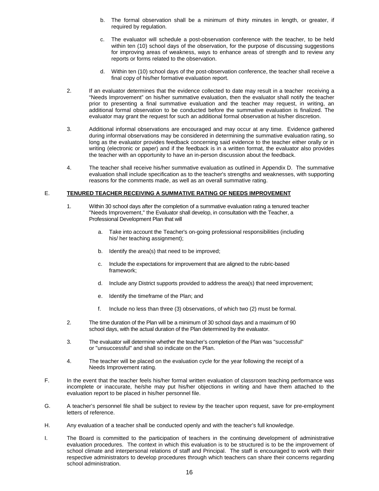- b. The formal observation shall be a minimum of thirty minutes in length, or greater, if required by regulation.
- c. The evaluator will schedule a post-observation conference with the teacher, to be held within ten (10) school days of the observation, for the purpose of discussing suggestions for improving areas of weakness, ways to enhance areas of strength and to review any reports or forms related to the observation.
- d. Within ten (10) school days of the post-observation conference, the teacher shall receive a final copy of his/her formative evaluation report.
- 2. If an evaluator determines that the evidence collected to date may result in a teacher receiving a "Needs Improvement" on his/her summative evaluation, then the evaluator shall notify the teacher prior to presenting a final summative evaluation and the teacher may request, in writing, an additional formal observation to be conducted before the summative evaluation is finalized. The evaluator may grant the request for such an additional formal observation at his/her discretion.
- 3. Additional informal observations are encouraged and may occur at any time. Evidence gathered during informal observations may be considered in determining the summative evaluation rating, so long as the evaluator provides feedback concerning said evidence to the teacher either orally or in writing (electronic or paper) and if the feedback is in a written format, the evaluator also provides the teacher with an opportunity to have an in-person discussion about the feedback.
- 4. The teacher shall receive his/her summative evaluation as outlined in Appendix D. The summative evaluation shall include specification as to the teacher's strengths and weaknesses, with supporting reasons for the comments made, as well as an overall summative rating.

#### E. **TENURED TEACHER RECEIVING A SUMMATIVE RATING OF NEEDS IMPROVEMENT**

- 1. Within 30 school days after the completion of a summative evaluation rating a tenured teacher "Needs Improvement," the Evaluator shall develop, in consultation with the Teacher, a Professional Development Plan that will
	- a. Take into account the Teacher's on-going professional responsibilities (including his/ her teaching assignment);
	- b. Identify the area(s) that need to be improved;
	- c. Include the expectations for improvement that are aligned to the rubric-based framework;
	- d. Include any District supports provided to address the area(s) that need improvement;
	- e. Identify the timeframe of the Plan; and
	- f. Include no less than three (3) observations, of which two (2) must be formal.
- 2. The time duration of the Plan will be a minimum of 30 school days and a maximum of 90 school days, with the actual duration of the Plan determined by the evaluator.
- 3. The evaluator will determine whether the teacher's completion of the Plan was "successful" or "unsuccessful" and shall so indicate on the Plan.
- 4. The teacher will be placed on the evaluation cycle for the year following the receipt of a Needs Improvement rating.
- F. In the event that the teacher feels his/her formal written evaluation of classroom teaching performance was incomplete or inaccurate, he/she may put his/her objections in writing and have them attached to the evaluation report to be placed in his/her personnel file.
- G. A teacher's personnel file shall be subject to review by the teacher upon request, save for pre-employment letters of reference.
- H. Any evaluation of a teacher shall be conducted openly and with the teacher's full knowledge.
- I. The Board is committed to the participation of teachers in the continuing development of administrative evaluation procedures. The context in which this evaluation is to be structured is to be the improvement of school climate and interpersonal relations of staff and Principal. The staff is encouraged to work with their respective administrators to develop procedures through which teachers can share their concerns regarding school administration.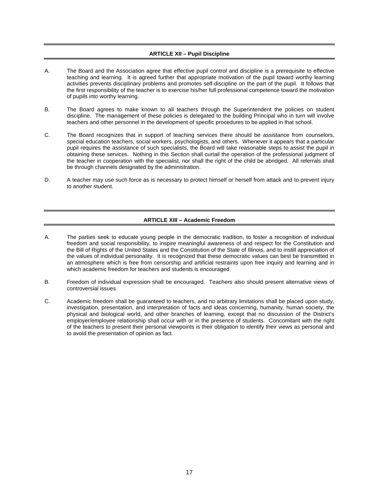# **ARTICLE XII – Pupil Discipline**

- <span id="page-19-0"></span>A. The Board and the Association agree that effective pupil control and discipline is a prerequisite to effective teaching and learning. It is agreed further that appropriate motivation of the pupil toward worthy learning activities prevents disciplinary problems and promotes self-discipline on the part of the pupil. It follows that the first responsibility of the teacher is to exercise his/her full professional competence toward the motivation of pupils into worthy learning.
- B. The Board agrees to make known to all teachers through the Superintendent the policies on student discipline. The management of these policies is delegated to the building Principal who in turn will involve teachers and other personnel in the development of specific procedures to be applied in that school.
- C. The Board recognizes that in support of teaching services there should be assistance from counselors, special education teachers, social workers, psychologists, and others. Whenever it appears that a particular pupil requires the assistance of such specialists, the Board will take reasonable steps to assist the pupil in obtaining these services. Nothing in this Section shall curtail the operation of the professional judgment of the teacher in cooperation with the specialist, nor shall the right of the child be abridged. All referrals shall be through channels designated by the administration.
- <span id="page-19-1"></span>D. A teacher may use such force as is necessary to protect himself or herself from attack and to prevent injury to another student.

# **ARTICLE XIII – Academic Freedom**

- A. The parties seek to educate young people in the democratic tradition, to foster a recognition of individual freedom and social responsibility, to inspire meaningful awareness of and respect for the Constitution and the Bill of Rights of the United States and the Constitution of the State of Illinois, and to instill appreciation of the values of individual personality. It is recognized that these democratic values can best be transmitted in an atmosphere which is free from censorship and artificial restraints upon free inquiry and learning and in which academic freedom for teachers and students is encouraged.
- B. Freedom of individual expression shall be encouraged. Teachers also should present alternative views of controversial issues.
- C. Academic freedom shall be guaranteed to teachers, and no arbitrary limitations shall be placed upon study, investigation, presentation, and interpretation of facts and ideas concerning, humanity, human society, the physical and biological world, and other branches of learning, except that no discussion of the District's employer/employee relationship shall occur with or in the presence of students. Concomitant with the right of the teachers to present their personal viewpoints is their obligation to identify their views as personal and to avoid the presentation of opinion as fact.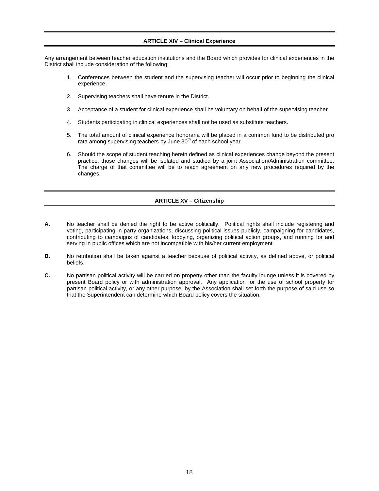# **ARTICLE XIV – Clinical Experience**

<span id="page-20-0"></span>Any arrangement between teacher education institutions and the Board which provides for clinical experiences in the District shall include consideration of the following:

- 1. Conferences between the student and the supervising teacher will occur prior to beginning the clinical experience.
- 2. Supervising teachers shall have tenure in the District.
- 3. Acceptance of a student for clinical experience shall be voluntary on behalf of the supervising teacher.
- 4. Students participating in clinical experiences shall not be used as substitute teachers.
- 5. The total amount of clinical experience honoraria will be placed in a common fund to be distributed pro rata among supervising teachers by June  $30<sup>th</sup>$  of each school year.
- 6. Should the scope of student teaching herein defined as clinical experiences change beyond the present practice, those changes will be isolated and studied by a joint Association/Administration committee. The charge of that committee will be to reach agreement on any new procedures required by the changes.

# **ARTICLE XV – Citizenship**

- <span id="page-20-1"></span>**A.** No teacher shall be denied the right to be active politically. Political rights shall include registering and voting, participating in party organizations, discussing political issues publicly, campaigning for candidates, contributing to campaigns of candidates, lobbying, organizing political action groups, and running for and serving in public offices which are not incompatible with his/her current employment.
- **B.** No retribution shall be taken against a teacher because of political activity, as defined above, or political beliefs.
- **C.** No partisan political activity will be carried on property other than the faculty lounge unless it is covered by present Board policy or with administration approval. Any application for the use of school property for partisan political activity, or any other purpose, by the Association shall set forth the purpose of said use so that the Superintendent can determine which Board policy covers the situation.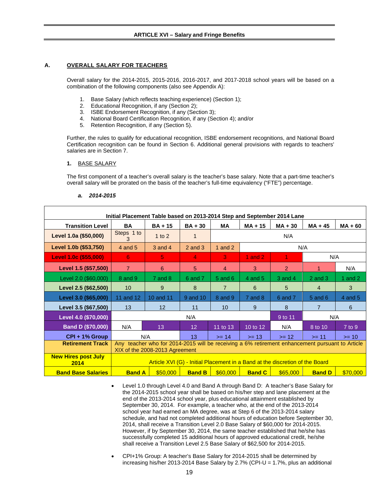#### **ARTICLE XVI – Salary and Fringe Benefits**

#### <span id="page-21-1"></span><span id="page-21-0"></span>**A. OVERALL SALARY FOR TEACHERS**

Overall salary for the 2014-2015, 2015-2016, 2016-2017, and 2017-2018 school years will be based on a combination of the following components (also see Appendix A):

- 1. Base Salary (which reflects teaching experience) (Section 1);
- 2. Educational Recognition, if any (Section 2);
- 3. ISBE Endorsement Recognition, if any (Section 3);
- 4. National Board Certification Recognition, if any (Section 4); and/or
- 5. Retention Recognition, if any (Section 5).

Further, the rules to qualify for educational recognition, ISBE endorsement recognitions, and National Board Certification recognition can be found in Section 6. Additional general provisions with regards to teachers' salaries are in Section 7.

#### **1.** BASE SALARY

The first component of a teacher's overall salary is the teacher's base salary. Note that a part-time teacher's overall salary will be prorated on the basis of the teacher's full-time equivalency ("FTE") percentage.

#### *a. 2014-2015*

| Initial Placement Table based on 2013-2014 Step and September 2014 Lane |                                                                                                                                   |                                                                              |                 |                 |               |               |                |           |
|-------------------------------------------------------------------------|-----------------------------------------------------------------------------------------------------------------------------------|------------------------------------------------------------------------------|-----------------|-----------------|---------------|---------------|----------------|-----------|
| <b>Transition Level</b>                                                 | <b>BA</b>                                                                                                                         | $BA + 15$                                                                    | $BA + 30$       | МA              | $MA + 15$     | $MA + 30$     | $MA + 45$      | $MA + 60$ |
| Level 1.0a (\$50,000)                                                   | Steps 1 to<br>3                                                                                                                   | $1$ to $2$                                                                   | 1               |                 |               | N/A           |                |           |
| Level 1.0b (\$53,750)                                                   | 4 and 5                                                                                                                           | 3 and 4                                                                      | $2$ and $3$     | 1 and $2$       |               |               | N/A            |           |
| Level 1.0c (\$55,000)                                                   | 6                                                                                                                                 | 5                                                                            | 4               | 3               | 1 and $21$    | 1             | N/A            |           |
| Level 1.5 (\$57,500)                                                    | $\overline{7}$                                                                                                                    | 6                                                                            | 5               | $\overline{4}$  | 3             | $\mathcal{P}$ |                | N/A       |
| Level 2.0 (\$60,000)                                                    | 8 and 9                                                                                                                           | $7$ and $8$                                                                  | 6 and 7         | $5$ and $6$     | $4$ and $5$   | 3 and 4       | $2$ and $3$    | 1 and $2$ |
| Level 2.5 (\$62,500)                                                    | 10                                                                                                                                | 9                                                                            | 8               | $\overline{7}$  | 6             | 5             | $\overline{4}$ | 3         |
| Level 3.0 (\$65,000)                                                    | 11 and 12                                                                                                                         | 10 and 11                                                                    | 9 and 10        | 8 and 9         | $7$ and $8$   | 6 and 7       | $5$ and $6$    | 4 and 5   |
| Level 3.5 (\$67,500)                                                    | 13                                                                                                                                | 12                                                                           | 11              | 10 <sup>°</sup> | 9             | 8             | $\overline{7}$ | 6         |
| Level 4.0 (\$70,000)                                                    |                                                                                                                                   |                                                                              | N/A             |                 |               | 9 to 11       | N/A            |           |
| Band D (\$70,000)                                                       | N/A                                                                                                                               | 13                                                                           | 12 <sup>°</sup> | 11 to 13        | 10 to 12      | N/A           | 8 to 10        | 7 to 9    |
| CPI + 1% Group                                                          |                                                                                                                                   | N/A<br>13 <sup>°</sup><br>$>= 14$<br>$>= 13$<br>$>= 12$<br>$>= 11$           |                 |                 |               |               |                | $>= 10$   |
| <b>Retirement Track</b>                                                 | Any teacher who for 2014-2015 will be receiving a 6% retirement enhancement pursuant to Article<br>XIX of the 2008-2013 Agreement |                                                                              |                 |                 |               |               |                |           |
| <b>New Hires post July</b><br>2014                                      |                                                                                                                                   | Article XVI (G) - Initial Placement in a Band at the discretion of the Board |                 |                 |               |               |                |           |
| <b>Band Base Salaries</b>                                               | <b>Band A</b>                                                                                                                     | \$50,000                                                                     | <b>Band B</b>   | \$60,000        | <b>Band C</b> | \$65,000      | <b>Band D</b>  | \$70,000  |

- Level 1.0 through Level 4.0 and Band A through Band D: A teacher's Base Salary for the 2014-2015 school year shall be based on his/her step and lane placement at the end of the 2013-2014 school year, plus educational attainment established by September 30, 2014. For example, a teacher who, at the end of the 2013-2014 school year had earned an MA degree, was at Step 6 of the 2013-2014 salary schedule, and had not completed additional hours of education before September 30, 2014, shall receive a Transition Level 2.0 Base Salary of \$60,000 for 2014-2015. However, if by September 30, 2014, the same teacher established that he/she has successfully completed 15 additional hours of approved educational credit, he/she shall receive a Transition Level 2.5 Base Salary of \$62,500 for 2014-2015.
- CPI+1% Group: A teacher's Base Salary for 2014-2015 shall be determined by increasing his/her 2013-2014 Base Salary by 2.7% (CPI-U = 1.7%, plus an additional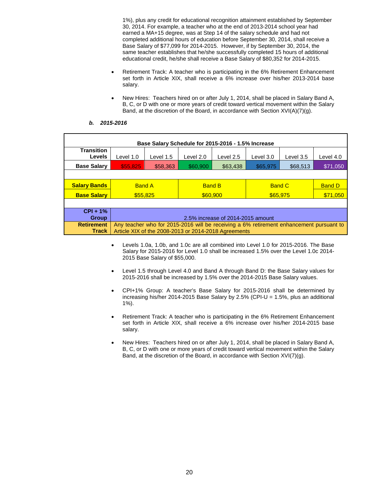1%), plus any credit for educational recognition attainment established by September 30, 2014. For example, a teacher who at the end of 2013-2014 school year had earned a MA+15 degree, was at Step 14 of the salary schedule and had not completed additional hours of education before September 30, 2014, shall receive a Base Salary of \$77,099 for 2014-2015. However, if by September 30, 2014, the same teacher establishes that he/she successfully completed 15 hours of additional educational credit, he/she shall receive a Base Salary of \$80,352 for 2014-2015.

- Retirement Track: A teacher who is participating in the 6% Retirement Enhancement set forth in Article XIX, shall receive a 6% increase over his/her 2013-2014 base salary.
- New Hires: Teachers hired on or after July 1, 2014, shall be placed in Salary Band A, B, C, or D with one or more years of credit toward vertical movement within the Salary Band, at the discretion of the Board, in accordance with Section XVI(A)(7)(g).

|  | b. | 2015-2016 |
|--|----|-----------|
|--|----|-----------|

| Base Salary Schedule for 2015-2016 - 1.5% Increase |                                                                                         |           |               |                                                      |               |           |               |
|----------------------------------------------------|-----------------------------------------------------------------------------------------|-----------|---------------|------------------------------------------------------|---------------|-----------|---------------|
| <b>Transition</b><br>Levels                        | Level 1.0                                                                               | Level 1.5 | Level 2.0     | Level 2.5                                            | Level 3.0     | Level 3.5 | Level 4.0     |
| <b>Base Salary</b>                                 | \$55,825                                                                                | \$58,363  | \$60,900      | \$63,438                                             | \$65,975      | \$68,513  | \$71,050      |
|                                                    |                                                                                         |           |               |                                                      |               |           |               |
| <b>Salary Bands</b>                                | <b>Band A</b>                                                                           |           | <b>Band B</b> |                                                      | <b>Band C</b> |           | <b>Band D</b> |
| <b>Base Salary</b>                                 | \$55,825                                                                                |           | \$60,900      |                                                      | \$65.975      |           | \$71,050      |
|                                                    |                                                                                         |           |               |                                                      |               |           |               |
| $CPI + 1%$                                         |                                                                                         |           |               |                                                      |               |           |               |
| <b>Group</b>                                       | 2.5% increase of 2014-2015 amount                                                       |           |               |                                                      |               |           |               |
| <b>Retirement</b>                                  | Any teacher who for 2015-2016 will be receiving a 6% retirement enhancement pursuant to |           |               |                                                      |               |           |               |
| Track                                              |                                                                                         |           |               | Article XIX of the 2008-2013 or 2014-2018 Agreements |               |           |               |

- Levels 1.0a, 1.0b, and 1.0c are all combined into Level 1.0 for 2015-2016. The Base Salary for 2015-2016 for Level 1.0 shall be increased 1.5% over the Level 1.0c 2014- 2015 Base Salary of \$55,000.
- Level 1.5 through Level 4.0 and Band A through Band D: the Base Salary values for 2015-2016 shall be increased by 1.5% over the 2014-2015 Base Salary values.
- CPI+1% Group: A teacher's Base Salary for 2015-2016 shall be determined by increasing his/her 2014-2015 Base Salary by 2.5% (CPI-U = 1.5%, plus an additional 1%).
- Retirement Track: A teacher who is participating in the 6% Retirement Enhancement set forth in Article XIX, shall receive a 6% increase over his/her 2014-2015 base salary.
- New Hires: Teachers hired on or after July 1, 2014, shall be placed in Salary Band A, B, C, or D with one or more years of credit toward vertical movement within the Salary Band, at the discretion of the Board, in accordance with Section XVI(7)(g).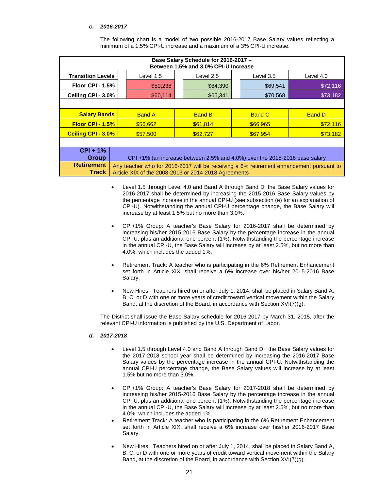# *c. 2016-2017*

| Base Salary Schedule for 2016-2017 -<br>Between 1.5% and 3.0% CPI-U Increase |                                                                                           |                                                      |                      |               |          |               |               |
|------------------------------------------------------------------------------|-------------------------------------------------------------------------------------------|------------------------------------------------------|----------------------|---------------|----------|---------------|---------------|
| <b>Transition Levels</b>                                                     |                                                                                           | Level 1.5                                            |                      | Level 2.5     |          | Level 3.5     | Level 4.0     |
| Floor CPI - $1.5\%$                                                          |                                                                                           | \$59,238                                             |                      | \$64,390      |          | \$69,541      | \$72,116      |
| Ceiling CPI - 3.0%                                                           |                                                                                           | \$60,114                                             |                      | \$65,341      |          | \$70,568      | \$73,182      |
|                                                                              |                                                                                           |                                                      |                      |               |          |               |               |
| <b>Salary Bands</b>                                                          |                                                                                           | <b>Band A</b>                                        |                      | <b>Band B</b> |          | <b>Band C</b> | <b>Band D</b> |
| <b>Floor CPI - 1.5%</b>                                                      |                                                                                           | \$56,662                                             | \$61,814<br>\$66.965 |               | \$72,116 |               |               |
| <b>Ceiling CPI - 3.0%</b>                                                    |                                                                                           | \$57,500                                             | \$67.954<br>\$62,727 |               | \$73,182 |               |               |
|                                                                              |                                                                                           |                                                      |                      |               |          |               |               |
| $CPI + 1%$                                                                   |                                                                                           |                                                      |                      |               |          |               |               |
|                                                                              | <b>Group</b><br>CPI+1% (an increase between 2.5% and 4.0%) over the 2015-2016 base salary |                                                      |                      |               |          |               |               |
| <b>Retirement</b>                                                            | Any teacher who for 2016-2017 will be receiving a 6% retirement enhancement pursuant to   |                                                      |                      |               |          |               |               |
| Track                                                                        |                                                                                           | Article XIX of the 2008-2013 or 2014-2018 Agreements |                      |               |          |               |               |

The following chart is a model of two possible 2016-2017 Base Salary values reflecting a minimum of a 1.5% CPI-U increase and a maximum of a 3% CPI-U increase.

- Level 1.5 through Level 4.0 and Band A through Band D: the Base Salary values for 2016-2017 shall be determined by increasing the 2015-2016 Base Salary values by the percentage increase in the annual CPI-U (see subsection (e) for an explanation of CPI-U). Notwithstanding the annual CPI-U percentage change, the Base Salary will increase by at least 1.5% but no more than 3.0%.
- CPI+1% Group: A teacher's Base Salary for 2016-2017 shall be determined by increasing his/her 2015-2016 Base Salary by the percentage increase in the annual CPI-U, plus an additional one percent (1%). Notwithstanding the percentage increase in the annual CPI-U, the Base Salary will increase by at least 2.5%, but no more than 4.0%, which includes the added 1%.
- Retirement Track: A teacher who is participating in the 6% Retirement Enhancement set forth in Article XIX, shall receive a 6% increase over his/her 2015-2016 Base Salary.
- New Hires: Teachers hired on or after July 1, 2014, shall be placed in Salary Band A, B, C, or D with one or more years of credit toward vertical movement within the Salary Band, at the discretion of the Board, in accordance with Section XVI(7)(g).

The District shall issue the Base Salary schedule for 2016-2017 by March 31, 2015, after the relevant CPI-U information is published by the U.S. Department of Labor.

#### *d. 2017-2018*

- Level 1.5 through Level 4.0 and Band A through Band D: the Base Salary values for the 2017-2018 school year shall be determined by increasing the 2016-2017 Base Salary values by the percentage increase in the annual CPI-U. Notwithstanding the annual CPI-U percentage change, the Base Salary values will increase by at least 1.5% but no more than 3.0%.
- CPI+1% Group: A teacher's Base Salary for 2017-2018 shall be determined by increasing his/her 2015-2016 Base Salary by the percentage increase in the annual CPI-U, plus an additional one percent (1%). Notwithstanding the percentage increase in the annual CPI-U, the Base Salary will increase by at least 2.5%, but no more than 4.0%, which includes the added 1%.
- Retirement Track: A teacher who is participating in the 6% Retirement Enhancement set forth in Article XIX, shall receive a 6% increase over his/her 2016-2017 Base Salary.
- New Hires: Teachers hired on or after July 1, 2014, shall be placed in Salary Band A, B, C, or D with one or more years of credit toward vertical movement within the Salary Band, at the discretion of the Board, in accordance with Section XVI(7)(g).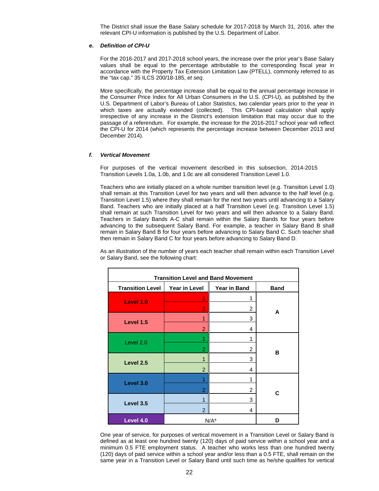The District shall issue the Base Salary schedule for 2017-2018 by March 31, 2016, after the relevant CPI-U information is published by the U.S. Department of Labor.

#### *e. Definition of CPI-U*

For the 2016-2017 and 2017-2018 school years, the increase over the prior year's Base Salary values shall be equal to the percentage attributable to the corresponding fiscal year in accordance with the Property Tax Extension Limitation Law (PTELL), commonly referred to as the "tax cap." 35 ILCS 200/18-185, *et seq*.

More specifically, the percentage increase shall be equal to the annual percentage increase in the Consumer Price Index for All Urban Consumers in the U.S. (CPI-U), as published by the U.S. Department of Labor's Bureau of Labor Statistics, two calendar years prior to the year in which taxes are actually extended (collected). This CPI-based calculation shall apply irrespective of any increase in the District's extension limitation that may occur due to the passage of a referendum. For example, the increase for the 2016-2017 school year will reflect the CPI-U for 2014 (which represents the percentage increase between December 2013 and December 2014).

#### *f. Vertical Movement*

For purposes of the vertical movement described in this subsection, 2014-2015 Transition Levels 1.0a, 1.0b, and 1.0c are all considered Transition Level 1.0.

Teachers who are initially placed on a whole number transition level (e.g. Transition Level 1.0) shall remain at this Transition Level for two years and will then advance to the half level (e.g. Transition Level 1.5) where they shall remain for the next two years until advancing to a Salary Band. Teachers who are initially placed at a half Transition Level (e.g. Transition Level 1.5) shall remain at such Transition Level for two years and will then advance to a Salary Band. Teachers in Salary Bands A-C shall remain within the Salary Bands for four years before advancing to the subsequent Salary Band. For example, a teacher in Salary Band B shall remain in Salary Band B for four years before advancing to Salary Band C. Such teacher shall then remain in Salary Band C for four years before advancing to Salary Band D.

As an illustration of the number of years each teacher shall remain within each Transition Level or Salary Band, see the following chart:

| <b>Transition Level and Band Movement</b> |                |                |             |  |
|-------------------------------------------|----------------|----------------|-------------|--|
| <b>Transition Level</b>                   | Year in Level  | Year in Band   | <b>Band</b> |  |
| Level 1.0                                 | 1              | 1              |             |  |
|                                           | $\overline{2}$ | $\overline{2}$ | A           |  |
| Level 1.5                                 | 1              | 3              |             |  |
|                                           | $\overline{2}$ | 4              |             |  |
| Level 2.0                                 | 1              | 1              |             |  |
|                                           | $\overline{2}$ | $\overline{c}$ | в           |  |
| Level 2.5                                 | 1              | 3              |             |  |
|                                           | $\overline{2}$ | 4              |             |  |
| Level 3.0                                 | 1              | 1              |             |  |
|                                           | $\overline{2}$ | $\overline{c}$ | С           |  |
| Level 3.5                                 | 1              | 3              |             |  |
|                                           | $\overline{2}$ | 4              |             |  |
| Level 4.0                                 | $N/A^*$        | D              |             |  |

One year of service, for purposes of vertical movement in a Transition Level or Salary Band is defined as at least one hundred twenty (120) days of paid service within a school year and a minimum 0.5 FTE employment status. A teacher who works less than one hundred twenty (120) days of paid service within a school year and/or less than a 0.5 FTE, shall remain on the same year in a Transition Level or Salary Band until such time as he/she qualifies for vertical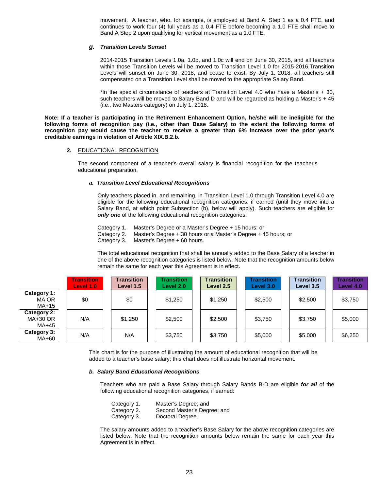movement. A teacher, who, for example, is employed at Band A, Step 1 as a 0.4 FTE, and continues to work four (4) full years as a 0.4 FTE before becoming a 1.0 FTE shall move to Band A Step 2 upon qualifying for vertical movement as a 1.0 FTE.

#### *g. Transition Levels Sunset*

2014-2015 Transition Levels 1.0a, 1.0b, and 1.0c will end on June 30, 2015, and all teachers within those Transition Levels will be moved to Transition Level 1.0 for 2015-2016.Transition Levels will sunset on June 30, 2018, and cease to exist. By July 1, 2018, all teachers still compensated on a Transition Level shall be moved to the appropriate Salary Band.

\*In the special circumstance of teachers at Transition Level 4.0 who have a Master's + 30, such teachers will be moved to Salary Band D and will be regarded as holding a Master's + 45 (i.e., two Masters category) on July 1, 2018.

**Note: If a teacher is participating in the Retirement Enhancement Option, he/she will be ineligible for the following forms of recognition pay (i.e., other than Base Salary) to the extent the following forms of recognition pay would cause the teacher to receive a greater than 6% increase over the prior year's creditable earnings in violation of Article XIX.B.2.b.**

#### **2.** EDUCATIONAL RECOGNITION

The second component of a teacher's overall salary is financial recognition for the teacher's educational preparation.

#### *a. Transition Level Educational Recognitions*

Only teachers placed in, and remaining, in Transition Level 1.0 through Transition Level 4.0 are eligible for the following educational recognition categories, if earned (until they move into a Salary Band, at which point Subsection (b), below will apply). Such teachers are eligible for *only one* of the following educational recognition categories:

Category 1. Master's Degree or a Master's Degree + 15 hours; or Category 2. Master's Degree + 30 hours or a Master's Degree + 45 hours; or Category 3. Master's Degree + 60 hours.

The total educational recognition that shall be annually added to the Base Salary of a teacher in one of the above recognition categories is listed below. Note that the recognition amounts below remain the same for each year this Agreement is in effect.

|                                  | <b>Transition</b><br>Level 1.0 | <b>Transition</b><br>Level 1.5 | <b>Transition</b><br>Level 2.0 | <b>Transition</b><br>Level 2.5 | <b>Transition</b><br>Level 3.0 | <b>Transition</b><br>Level 3.5 | <b>Transition</b><br>Level 4.0 |
|----------------------------------|--------------------------------|--------------------------------|--------------------------------|--------------------------------|--------------------------------|--------------------------------|--------------------------------|
| Category 1:<br>MA OR<br>$MA+15$  | \$0                            | \$0                            | \$1,250                        | \$1,250                        | \$2,500                        | \$2,500                        | \$3,750                        |
| Category 2:<br>MA+30 OR<br>MA+45 | N/A                            | \$1,250                        | \$2,500                        | \$2,500                        | \$3,750                        | \$3,750                        | \$5,000                        |
| Category 3:<br>MA+60             | N/A                            | N/A                            | \$3,750                        | \$3,750                        | \$5,000                        | \$5,000                        | \$6,250                        |

This chart is for the purpose of illustrating the amount of educational recognition that will be added to a teacher's base salary; this chart does not illustrate horizontal movement.

#### *b. Salary Band Educational Recognitions*

Teachers who are paid a Base Salary through Salary Bands B-D are eligible *for all* of the following educational recognition categories, if earned:

| Category 1. | Master's Degree; and        |
|-------------|-----------------------------|
| Category 2. | Second Master's Degree; and |
| Category 3. | Doctoral Degree.            |

The salary amounts added to a teacher's Base Salary for the above recognition categories are listed below. Note that the recognition amounts below remain the same for each year this Agreement is in effect.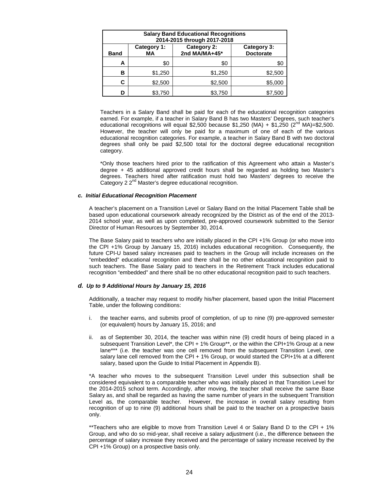| <b>Salary Band Educational Recognitions</b><br>2014-2015 through 2017-2018                                 |         |         |         |  |  |  |
|------------------------------------------------------------------------------------------------------------|---------|---------|---------|--|--|--|
| Category 2:<br>Category 1:<br>Category 3:<br>2nd MA/MA+45*<br><b>Doctorate</b><br><b>MA</b><br><b>Band</b> |         |         |         |  |  |  |
| А                                                                                                          | \$0     | \$0     | \$0     |  |  |  |
| в                                                                                                          | \$1,250 | \$1,250 | \$2,500 |  |  |  |
| С                                                                                                          | \$2,500 | \$2,500 | \$5,000 |  |  |  |
| D                                                                                                          | \$3,750 | \$3,750 | \$7.50C |  |  |  |

Teachers in a Salary Band shall be paid for each of the educational recognition categories earned. For example, if a teacher in Salary Band B has two Masters' Degrees, such teacher's educational recognitions will equal \$2,500 because \$1,250 (MA) + \$1,250 ( $2<sup>nd</sup>$  MA)=\$2,500. However, the teacher will only be paid for a maximum of one of each of the various educational recognition categories. For example, a teacher in Salary Band B with two doctoral degrees shall only be paid \$2,500 total for the doctoral degree educational recognition category.

\*Only those teachers hired prior to the ratification of this Agreement who attain a Master's degree + 45 additional approved credit hours shall be regarded as holding two Master's degrees. Teachers hired after ratification must hold two Masters' degrees to receive the Category 2 2<sup>nd</sup> Master's degree educational recognition.

#### *c. Initial Educational Recognition Placement*

A teacher's placement on a Transition Level or Salary Band on the Initial Placement Table shall be based upon educational coursework already recognized by the District as of the end of the 2013- 2014 school year, as well as upon completed, pre-approved coursework submitted to the Senior Director of Human Resources by September 30, 2014.

The Base Salary paid to teachers who are initially placed in the CPI +1% Group (or who move into the CPI +1% Group by January 15, 2016) includes educational recognition. Consequently, the future CPI-U based salary increases paid to teachers in the Group will include increases on the "embedded" educational recognition and there shall be no other educational recognition paid to such teachers. The Base Salary paid to teachers in the Retirement Track includes educational recognition "embedded" and there shall be no other educational recognition paid to such teachers.

#### *d. Up to 9 Additional Hours by January 15, 2016*

Additionally, a teacher may request to modify his/her placement, based upon the Initial Placement Table, under the following conditions:

- i. the teacher earns, and submits proof of completion, of up to nine (9) pre-approved semester (or equivalent) hours by January 15, 2016; and
- ii. as of September 30, 2014, the teacher was within nine (9) credit hours of being placed in a subsequent Transition Level\*, the CPI + 1% Group\*\*, or the within the CPI+1% Group at a new lane\*\*\* (i.e. the teacher was one cell removed from the subsequent Transition Level, one salary lane cell removed from the CPI + 1% Group, or would started the CPI+1% at a different salary, based upon the Guide to Initial Placement in Appendix B).

\*A teacher who moves to the subsequent Transition Level under this subsection shall be considered equivalent to a comparable teacher who was initially placed in that Transition Level for the 2014-2015 school term. Accordingly, after moving, the teacher shall receive the same Base Salary as, and shall be regarded as having the same number of years in the subsequent Transition Level as, the comparable teacher. However, the increase in overall salary resulting from recognition of up to nine (9) additional hours shall be paid to the teacher on a prospective basis only.

\*\*Teachers who are eligible to move from Transition Level 4 or Salary Band D to the CPI + 1% Group, and who do so mid-year, shall receive a salary adjustment (i.e., the difference between the percentage of salary increase they received and the percentage of salary increase received by the CPI +1% Group) on a prospective basis only.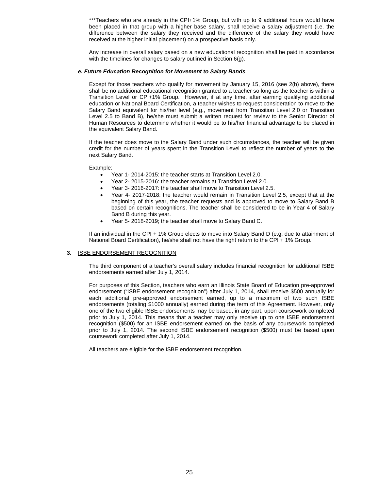\*\*\*Teachers who are already in the CPI+1% Group, but with up to 9 additional hours would have been placed in that group with a higher base salary, shall receive a salary adjustment (i.e. the difference between the salary they received and the difference of the salary they would have received at the higher initial placement) on a prospective basis only.

Any increase in overall salary based on a new educational recognition shall be paid in accordance with the timelines for changes to salary outlined in Section 6(g).

#### *e. Future Education Recognition for Movement to Salary Bands*

Except for those teachers who qualify for movement by January 15, 2016 (see 2(b) above), there shall be no additional educational recognition granted to a teacher so long as the teacher is within a Transition Level or CPI+1% Group. However, if at any time, after earning qualifying additional education or National Board Certification, a teacher wishes to request consideration to move to the Salary Band equivalent for his/her level (e.g., movement from Transition Level 2.0 or Transition Level 2.5 to Band B), he/she must submit a written request for review to the Senior Director of Human Resources to determine whether it would be to his/her financial advantage to be placed in the equivalent Salary Band.

If the teacher does move to the Salary Band under such circumstances, the teacher will be given credit for the number of years spent in the Transition Level to reflect the number of years to the next Salary Band.

Example:

- Year 1- 2014-2015: the teacher starts at Transition Level 2.0.
- Year 2- 2015-2016: the teacher remains at Transition Level 2.0.
- Year 3- 2016-2017: the teacher shall move to Transition Level 2.5.
- Year 4- 2017-2018: the teacher would remain in Transition Level 2.5, except that at the beginning of this year, the teacher requests and is approved to move to Salary Band B based on certain recognitions. The teacher shall be considered to be in Year 4 of Salary Band B during this year.
- Year 5- 2018-2019; the teacher shall move to Salary Band C.

If an individual in the CPI + 1% Group elects to move into Salary Band D (e.g. due to attainment of National Board Certification), he/she shall not have the right return to the CPI + 1% Group.

#### **3.** ISBE ENDORSEMENT RECOGNITION

The third component of a teacher's overall salary includes financial recognition for additional ISBE endorsements earned after July 1, 2014.

For purposes of this Section, teachers who earn an Illinois State Board of Education pre-approved endorsement ("ISBE endorsement recognition") after July 1, 2014, shall receive \$500 annually for each additional pre-approved endorsement earned, up to a maximum of two such ISBE endorsements (totaling \$1000 annually) earned during the term of this Agreement. However, only one of the two eligible ISBE endorsements may be based, in any part, upon coursework completed prior to July 1, 2014. This means that a teacher may only receive up to one ISBE endorsement recognition (\$500) for an ISBE endorsement earned on the basis of any coursework completed prior to July 1, 2014. The second ISBE endorsement recognition (\$500) must be based upon coursework completed after July 1, 2014.

All teachers are eligible for the ISBE endorsement recognition.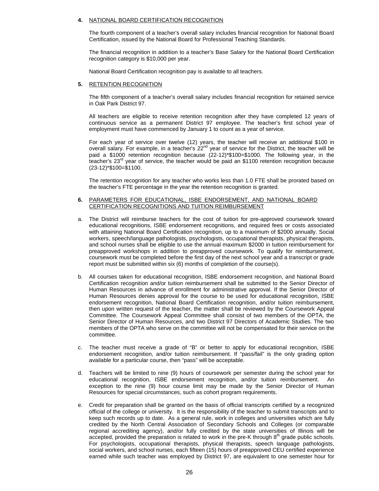#### **4.** NATIONAL BOARD CERTIFICATION RECOGNITION

The fourth component of a teacher's overall salary includes financial recognition for National Board Certification, issued by the National Board for Professional Teaching Standards.

The financial recognition in addition to a teacher's Base Salary for the National Board Certification recognition category is \$10,000 per year.

National Board Certification recognition pay is available to all teachers.

#### **5.** RETENTION RECOGNITION

The fifth component of a teacher's overall salary includes financial recognition for retained service in Oak Park District 97.

All teachers are eligible to receive retention recognition after they have completed 12 years of continuous service as a permanent District 97 employee. The teacher's first school year of employment must have commenced by January 1 to count as a year of service.

For each year of service over twelve (12) years, the teacher will receive an additional \$100 in overall salary. For example, in a teacher's  $22<sup>nd</sup>$  year of service for the District, the teacher will be paid a \$1000 retention recognition because (22-12)\*\$100=\$1000. The following year, in the teacher's  $23<sup>rd</sup>$  year of service, the teacher would be paid an \$1100 retention recognition because (23-12)\*\$100=\$1100.

The retention recognition for any teacher who works less than 1.0 FTE shall be prorated based on the teacher's FTE percentage in the year the retention recognition is granted.

#### **6.** PARAMETERS FOR EDUCATIONAL, ISBE ENDORSEMENT, AND NATIONAL BOARD CERTIFICATION RECOGNITIONS AND TUITION REIMBURSEMENT

- a. The District will reimburse teachers for the cost of tuition for pre-approved coursework toward educational recognitions, ISBE endorsement recognitions, and required fees or costs associated with attaining National Board Certification recognition, up to a maximum of \$2000 annually. Social workers, speech/language pathologists, psychologists, occupational therapists, physical therapists, and school nurses shall be eligible to use the annual maximum \$2000 in tuition reimbursement for preapproved workshops in addition to preapproved coursework. To qualify for reimbursement, coursework must be completed before the first day of the next school year and a transcript or grade report must be submitted within six (6) months of completion of the course(s).
- b. All courses taken for educational recognition, ISBE endorsement recognition, and National Board Certification recognition and/or tuition reimbursement shall be submitted to the Senior Director of Human Resources in advance of enrollment for administrative approval. If the Senior Director of Human Resources denies approval for the course to be used for educational recognition, ISBE endorsement recognition, National Board Certification recognition, and/or tuition reimbursement, then upon written request of the teacher, the matter shall be reviewed by the Coursework Appeal Committee. The Coursework Appeal Committee shall consist of two members of the OPTA, the Senior Director of Human Resources, and two District 97 Directors of Academic Studies. The two members of the OPTA who serve on the committee will not be compensated for their service on the committee.
- c. The teacher must receive a grade of "B" or better to apply for educational recognition, ISBE endorsement recognition, and/or tuition reimbursement. If "pass/fail" is the only grading option available for a particular course, then "pass" will be acceptable.
- d. Teachers will be limited to nine (9) hours of coursework per semester during the school year for educational recognition, ISBE endorsement recognition, and/or tuition reimbursement. An exception to the nine (9) hour course limit may be made by the Senior Director of Human Resources for special circumstances, such as cohort program requirements.
- e. Credit for preparation shall be granted on the basis of official transcripts certified by a recognized official of the college or university. It is the responsibility of the teacher to submit transcripts and to keep such records up to date. As a general rule, work in colleges and universities which are fully credited by the North Central Association of Secondary Schools and Colleges (or comparable regional accrediting agency), and/or fully credited by the state universities of Illinois will be accepted, provided the preparation is related to work in the pre-K through  $8<sup>th</sup>$  grade public schools. For psychologists, occupational therapists, physical therapists, speech language pathologists, social workers, and school nurses, each fifteen (15) hours of preapproved CEU certified experience earned while such teacher was employed by District 97, are equivalent to one semester hour for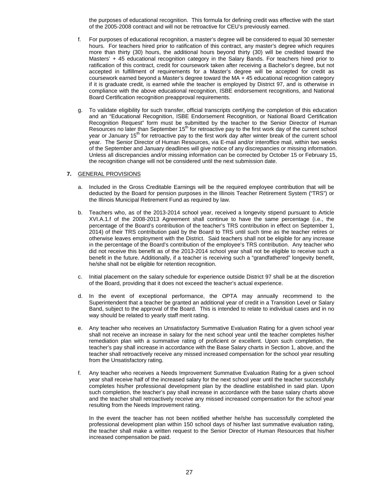the purposes of educational recognition. This formula for defining credit was effective with the start of the 2005-2008 contract and will not be retroactive for CEU's previously earned.

- f. For purposes of educational recognition, a master's degree will be considered to equal 30 semester hours. For teachers hired prior to ratification of this contract, any master's degree which requires more than thirty (30) hours, the additional hours beyond thirty (30) will be credited toward the Masters' + 45 educational recognition category in the Salary Bands. For teachers hired prior to ratification of this contract, credit for coursework taken after receiving a Bachelor's degree, but not accepted in fulfillment of requirements for a Master's degree will be accepted for credit as coursework earned beyond a Master's degree toward the MA + 45 educational recognition category if it is graduate credit, is earned while the teacher is employed by District 97, and is otherwise in compliance with the above educational recognition, ISBE endorsement recognitions, and National Board Certification recognition preapproval requirements.
- g. To validate eligibility for such transfer, official transcripts certifying the completion of this education and an "Educational Recognition, ISBE Endorsement Recognition, or National Board Certification Recognition Request" form must be submitted by the teacher to the Senior Director of Human Resources no later than September  $15<sup>th</sup>$  for retroactive pay to the first work day of the current school year or January 15<sup>th</sup> for retroactive pay to the first work day after winter break of the current school year. The Senior Director of Human Resources, via E-mail and/or interoffice mail, within two weeks of the September and January deadlines will give notice of any discrepancies or missing information. Unless all discrepancies and/or missing information can be corrected by October 15 or February 15, the recognition change will not be considered until the next submission date.

#### **7.** GENERAL PROVISIONS

- a. Included in the Gross Creditable Earnings will be the required employee contribution that will be deducted by the Board for pension purposes in the Illinois Teacher Retirement System ("TRS") or the Illinois Municipal Retirement Fund as required by law.
- b. Teachers who, as of the 2013-2014 school year, received a longevity stipend pursuant to Article XVI.A.1.f of the 2008-2013 Agreement shall continue to have the same percentage (i.e., the percentage of the Board's contribution of the teacher's TRS contribution in effect on September 1, 2014) of their TRS contribution paid by the Board to TRS until such time as the teacher retires or otherwise leaves employment with the District. Said teachers shall not be eligible for any increase in the percentage of the Board's contribution of the employee's TRS contribution. Any teacher who did not receive this benefit as of the 2013-2014 school year shall not be eligible to receive such a benefit in the future. Additionally, if a teacher is receiving such a "grandfathered" longevity benefit, he/she shall not be eligible for retention recognition.
- c. Initial placement on the salary schedule for experience outside District 97 shall be at the discretion of the Board, providing that it does not exceed the teacher's actual experience.
- d. In the event of exceptional performance, the OPTA may annually recommend to the Superintendent that a teacher be granted an additional year of credit in a Transition Level or Salary Band, subject to the approval of the Board. This is intended to relate to individual cases and in no way should be related to yearly staff merit rating.
- e. Any teacher who receives an Unsatisfactory Summative Evaluation Rating for a given school year shall not receive an increase in salary for the next school year until the teacher completes his/her remediation plan with a summative rating of proficient or excellent. Upon such completion, the teacher's pay shall increase in accordance with the Base Salary charts in Section 1, above, and the teacher shall retroactively receive any missed increased compensation for the school year resulting from the Unsatisfactory rating.
- f. Any teacher who receives a Needs Improvement Summative Evaluation Rating for a given school year shall receive half of the increased salary for the next school year until the teacher successfully completes his/her professional development plan by the deadline established in said plan. Upon such completion, the teacher's pay shall increase in accordance with the base salary charts above and the teacher shall retroactively receive any missed increased compensation for the school year resulting from the Needs Improvement rating.

In the event the teacher has not been notified whether he/she has successfully completed the professional development plan within 150 school days of his/her last summative evaluation rating, the teacher shall make a written request to the Senior Director of Human Resources that his/her increased compensation be paid.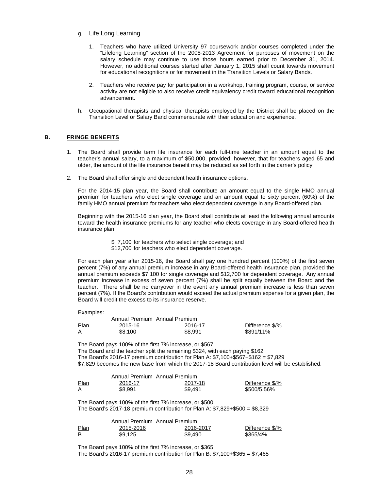- g. Life Long Learning
	- 1. Teachers who have utilized University 97 coursework and/or courses completed under the "Lifelong Learning" section of the 2008-2013 Agreement for purposes of movement on the salary schedule may continue to use those hours earned prior to December 31, 2014. However, no additional courses started after January 1, 2015 shall count towards movement for educational recognitions or for movement in the Transition Levels or Salary Bands.
	- 2. Teachers who receive pay for participation in a workshop, training program, course, or service activity are not eligible to also receive credit equivalency credit toward educational recognition advancement.
- h. Occupational therapists and physical therapists employed by the District shall be placed on the Transition Level or Salary Band commensurate with their education and experience.

#### <span id="page-30-0"></span>**B. FRINGE BENEFITS**

- 1. The Board shall provide term life insurance for each full-time teacher in an amount equal to the teacher's annual salary, to a maximum of \$50,000, provided, however, that for teachers aged 65 and older, the amount of the life insurance benefit may be reduced as set forth in the carrier's policy.
- 2. The Board shall offer single and dependent health insurance options.

For the 2014-15 plan year, the Board shall contribute an amount equal to the single HMO annual premium for teachers who elect single coverage and an amount equal to sixty percent (60%) of the family HMO annual premium for teachers who elect dependent coverage in any Board-offered plan.

Beginning with the 2015-16 plan year, the Board shall contribute at least the following annual amounts toward the health insurance premiums for any teacher who elects coverage in any Board-offered health insurance plan:

- \$ 7,100 for teachers who select single coverage; and
- \$12,700 for teachers who elect dependent coverage.

For each plan year after 2015-16, the Board shall pay one hundred percent (100%) of the first seven percent (7%) of any annual premium increase in any Board-offered health insurance plan, provided the annual premium exceeds \$7,100 for single coverage and \$12,700 for dependent coverage. Any annual premium increase in excess of seven percent (7%) shall be split equally between the Board and the teacher. There shall be no carryover in the event any annual premium increase is less than seven percent (7%). If the Board's contribution would exceed the actual premium expense for a given plan, the Board will credit the excess to its insurance reserve.

Examples:

|             | Annual Premium Annual Premium |         |                 |
|-------------|-------------------------------|---------|-----------------|
| <b>Plan</b> | 2015-16                       | 2016-17 | Difference \$/% |
| A           | \$8.100                       | \$8.991 | \$891/11%       |

The Board pays 100% of the first 7% increase, or \$567 The Board and the teacher split the remaining \$324, with each paying \$162 The Board's 2016-17 premium contribution for Plan A: \$7,100+\$567+\$162 = \$7,829 \$7,829 becomes the new base from which the 2017-18 Board contribution level will be established.

|              | Annual Premium Annual Premium |         |                 |
|--------------|-------------------------------|---------|-----------------|
| Plan<br>____ | 2016-17                       | 2017-18 | Difference \$/% |
|              | \$8.991                       | \$9.491 | \$500/5.56%     |

The Board pays 100% of the first 7% increase, or \$500 The Board's 2017-18 premium contribution for Plan A:  $$7,829+$500 = $8,329$ 

|             | Annual Premium Annual Premium |           |                 |
|-------------|-------------------------------|-----------|-----------------|
| <u>Plan</u> | 2015-2016                     | 2016-2017 | Difference \$/% |
| в           | \$9.125                       | \$9.490   | \$365/4%        |

The Board pays 100% of the first 7% increase, or \$365 The Board's 2016-17 premium contribution for Plan B: \$7,100+\$365 = \$7,465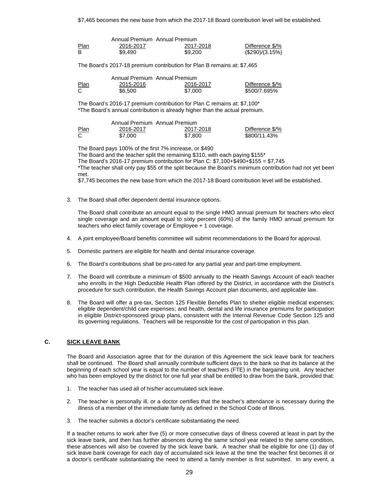\$7,465 becomes the new base from which the 2017-18 Board contribution level will be established.

|             | Annual Premium Annual Premium |           |                 |  |  |
|-------------|-------------------------------|-----------|-----------------|--|--|
| <b>Plan</b> | 2016-2017                     | 2017-2018 | Difference \$/% |  |  |
| B           | \$9.490                       | \$9,200   | (\$290)/(3.15%) |  |  |

The Board's 2017-18 premium contribution for Plan B remains at: \$7,465

|              | Annual Premium Annual Premium |           |                 |  |  |
|--------------|-------------------------------|-----------|-----------------|--|--|
| Plan<br>____ | 2015-2016                     | 2016-2017 | Difference \$/% |  |  |
|              | \$6.500                       | \$7,000   | \$500/7.695%    |  |  |

The Board's 2016-17 premium contribution for Plan C remains at: \$7,100\* \*The Board's annual contribution is already higher than the actual premium.

|      | Annual Premium Annual Premium |           |                 |
|------|-------------------------------|-----------|-----------------|
| Plan | 2016-2017                     | 2017-2018 | Difference \$/% |
| С    | \$7,000                       | \$7,800   | \$800/11.43%    |

The Board pays 100% of the first 7% increase, or \$490

The Board and the teacher split the remaining \$310, with each paying \$155\*

The Board's 2016-17 premium contribution for Plan C:  $$7,100+$490+$155 = $7,745$ 

\*The teacher shall only pay \$55 of the split because the Board's minimum contribution had not yet been met.

\$7,745 becomes the new base from which the 2017-18 Board contribution level will be established.

3. The Board shall offer dependent dental insurance options.

The Board shall contribute an amount equal to the single HMO annual premium for teachers who elect single coverage and an amount equal to sixty percent (60%) of the family HMO annual premium for teachers who elect family coverage or Employee + 1 coverage.

- 4. A joint employee/Board benefits committee will submit recommendations to the Board for approval.
- 5. Domestic partners are eligible for health and dental insurance coverage.
- 6. The Board's contributions shall be pro-rated for any partial year and part-time employment.
- 7. The Board will contribute a minimum of \$500 annually to the Health Savings Account of each teacher who enrolls in the High Deductible Health Plan offered by the District, in accordance with the District's procedure for such contribution, the Health Savings Account plan documents, and applicable law.
- 8. The Board will offer a pre-tax, Section 125 Flexible Benefits Plan to shelter eligible medical expenses; eligible dependent/child care expenses; and health, dental and life insurance premiums for participation in eligible District-sponsored group plans, consistent with the Internal Revenue Code Section 125 and its governing regulations. Teachers will be responsible for the cost of participation in this plan.

#### <span id="page-31-0"></span>**C. SICK LEAVE BANK**

The Board and Association agree that for the duration of this Agreement the sick leave bank for teachers shall be continued. The Board shall annually contribute sufficient days to the bank so that its balance at the beginning of each school year is equal to the number of teachers (FTE) in the bargaining unit. Any teacher who has been employed by the district for one full year shall be entitled to draw from the bank, provided that:

- 1. The teacher has used all of his/her accumulated sick leave.
- 2. The teacher is personally ill, or a doctor certifies that the teacher's attendance is necessary during the illness of a member of the immediate family as defined in the School Code of Illinois.
- 3. The teacher submits a doctor's certificate substantiating the need.

If a teacher returns to work after five (5) or more consecutive days of illness covered at least in part by the sick leave bank, and then has further absences during the same school year related to the same condition, these absences will also be covered by the sick leave bank. A teacher shall be eligible for one (1) day of sick leave bank coverage for each day of accumulated sick leave at the time the teacher first becomes ill or a doctor's certificate substantiating the need to attend a family member is first submitted. In any event, a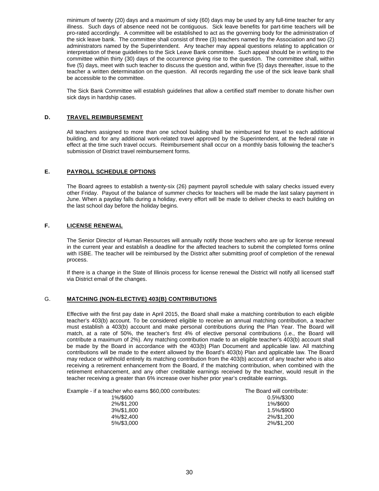minimum of twenty (20) days and a maximum of sixty (60) days may be used by any full-time teacher for any illness. Such days of absence need not be contiguous. Sick leave benefits for part-time teachers will be pro-rated accordingly. A committee will be established to act as the governing body for the administration of the sick leave bank. The committee shall consist of three (3) teachers named by the Association and two (2) administrators named by the Superintendent. Any teacher may appeal questions relating to application or interpretation of these guidelines to the Sick Leave Bank committee. Such appeal should be in writing to the committee within thirty (30) days of the occurrence giving rise to the question. The committee shall, within five (5) days, meet with such teacher to discuss the question and, within five (5) days thereafter, issue to the teacher a written determination on the question. All records regarding the use of the sick leave bank shall be accessible to the committee.

The Sick Bank Committee will establish guidelines that allow a certified staff member to donate his/her own sick days in hardship cases.

# <span id="page-32-0"></span>**D. TRAVEL REIMBURSEMENT**

All teachers assigned to more than one school building shall be reimbursed for travel to each additional building, and for any additional work-related travel approved by the Superintendent, at the federal rate in effect at the time such travel occurs. Reimbursement shall occur on a monthly basis following the teacher's submission of District travel reimbursement forms.

# <span id="page-32-1"></span>**E. PAYROLL SCHEDULE OPTIONS**

The Board agrees to establish a twenty-six (26) payment payroll schedule with salary checks issued every other Friday. Payout of the balance of summer checks for teachers will be made the last salary payment in June. When a payday falls during a holiday, every effort will be made to deliver checks to each building on the last school day before the holiday begins.

#### <span id="page-32-2"></span>**F. LICENSE RENEWAL**

The Senior Director of Human Resources will annually notify those teachers who are up for license renewal in the current year and establish a deadline for the affected teachers to submit the completed forms online with ISBE. The teacher will be reimbursed by the District after submitting proof of completion of the renewal process.

If there is a change in the State of Illinois process for license renewal the District will notify all licensed staff via District email of the changes.

#### <span id="page-32-3"></span>G. **MATCHING (NON-ELECTIVE) 403(B) CONTRIBUTIONS**

Effective with the first pay date in April 2015, the Board shall make a matching contribution to each eligible teacher's 403(b) account. To be considered eligible to receive an annual matching contribution, a teacher must establish a 403(b) account and make personal contributions during the Plan Year. The Board will match, at a rate of 50%, the teacher's first 4% of elective personal contributions (i.e., the Board will contribute a maximum of 2%). Any matching contribution made to an eligible teacher's 403(b) account shall be made by the Board in accordance with the 403(b) Plan Document and applicable law. All matching contributions will be made to the extent allowed by the Board's 403(b) Plan and applicable law. The Board may reduce or withhold entirely its matching contribution from the 403(b) account of any teacher who is also receiving a retirement enhancement from the Board, if the matching contribution, when combined with the retirement enhancement, and any other creditable earnings received by the teacher, would result in the teacher receiving a greater than 6% increase over his/her prior year's creditable earnings.

| Example - if a teacher who earns \$60,000 contributes: | The Board will contribute: |
|--------------------------------------------------------|----------------------------|
| 10/10000                                               | $\Omega$ EQL 10000         |

| cher who earns \$60,000 contributes: | The Board will contribute |
|--------------------------------------|---------------------------|
| 1%/\$600                             | 0.5%/\$300                |
| 2%/\$1,200                           | 1%/\$600                  |
| 3%/\$1.800                           | 1.5%/\$900                |
| 4%/\$2,400                           | 2%/\$1.200                |
| 5%/\$3,000                           | 2%/\$1,200                |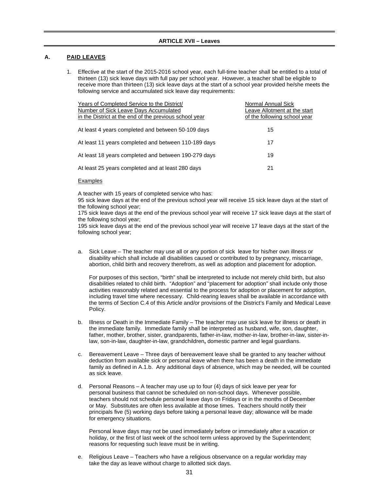#### <span id="page-33-1"></span><span id="page-33-0"></span>**A. PAID LEAVES**

1. Effective at the start of the 2015-2016 school year, each full-time teacher shall be entitled to a total of thirteen (13) sick leave days with full pay per school year. However, a teacher shall be eligible to receive more than thirteen (13) sick leave days at the start of a school year provided he/she meets the following service and accumulated sick leave day requirements:

| Years of Completed Service to the District/<br>Number of Sick Leave Days Accumulated<br>in the District at the end of the previous school year | Normal Annual Sick<br>Leave Allotment at the start<br>of the following school year |
|------------------------------------------------------------------------------------------------------------------------------------------------|------------------------------------------------------------------------------------|
| At least 4 years completed and between 50-109 days                                                                                             | 15                                                                                 |
| At least 11 years completed and between 110-189 days                                                                                           | 17                                                                                 |
| At least 18 years completed and between 190-279 days                                                                                           | 19                                                                                 |
| At least 25 years completed and at least 280 days                                                                                              | 21                                                                                 |
|                                                                                                                                                |                                                                                    |

#### **Examples**

A teacher with 15 years of completed service who has:

95 sick leave days at the end of the previous school year will receive 15 sick leave days at the start of the following school year;

175 sick leave days at the end of the previous school year will receive 17 sick leave days at the start of the following school year;

195 sick leave days at the end of the previous school year will receive 17 leave days at the start of the following school year;

a. Sick Leave – The teacher may use all or any portion of sick leave for his/her own illness or disability which shall include all disabilities caused or contributed to by pregnancy, miscarriage, abortion, child birth and recovery therefrom, as well as adoption and placement for adoption.

For purposes of this section, "birth" shall be interpreted to include not merely child birth, but also disabilities related to child birth. "Adoption" and "placement for adoption" shall include only those activities reasonably related and essential to the process for adoption or placement for adoption, including travel time where necessary. Child-rearing leaves shall be available in accordance with the terms of Section C.4 of this Article and/or provisions of the District's Family and Medical Leave Policy.

- b. Illness or Death in the Immediate Family The teacher may use sick leave for illness or death in the immediate family. Immediate family shall be interpreted as husband, wife, son, daughter, father, mother, brother, sister, grandparents, father-in-law, mother-in-law, brother-in-law, sister-inlaw, son-in-law, daughter-in-law, grandchildren**,** domestic partner and legal guardians.
- c. Bereavement Leave Three days of bereavement leave shall be granted to any teacher without deduction from available sick or personal leave when there has been a death in the immediate family as defined in A.1.b. Any additional days of absence, which may be needed, will be counted as sick leave.
- d. Personal Reasons A teacher may use up to four (4) days of sick leave per year for personal business that cannot be scheduled on non-school days. Whenever possible, teachers should not schedule personal leave days on Fridays or in the months of December or May. Substitutes are often less available at those times. Teachers should notify their principals five (5) working days before taking a personal leave day; allowance will be made for emergency situations.

Personal leave days may not be used immediately before or immediately after a vacation or holiday, or the first of last week of the school term unless approved by the Superintendent; reasons for requesting such leave must be in writing.

e. Religious Leave – Teachers who have a religious observance on a regular workday may take the day as leave without charge to allotted sick days.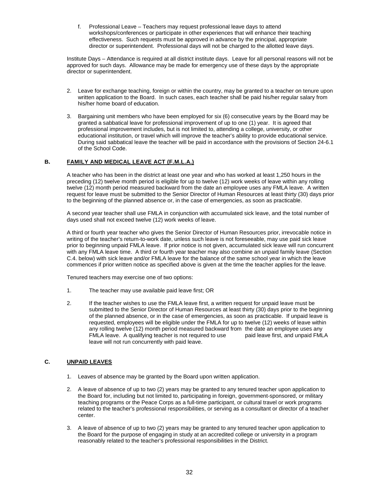f. Professional Leave – Teachers may request professional leave days to attend workshops/conferences or participate in other experiences that will enhance their teaching effectiveness. Such requests must be approved in advance by the principal, appropriate director or superintendent. Professional days will not be charged to the allotted leave days.

Institute Days – Attendance is required at all district institute days. Leave for all personal reasons will not be approved for such days. Allowance may be made for emergency use of these days by the appropriate director or superintendent.

- 2. Leave for exchange teaching, foreign or within the country, may be granted to a teacher on tenure upon written application to the Board. In such cases, each teacher shall be paid his/her regular salary from his/her home board of education.
- 3. Bargaining unit members who have been employed for six (6) consecutive years by the Board may be granted a sabbatical leave for professional improvement of up to one (1) year. It is agreed that professional improvement includes, but is not limited to, attending a college, university, or other educational institution, or travel which will improve the teacher's ability to provide educational service. During said sabbatical leave the teacher will be paid in accordance with the provisions of Section 24-6.1 of the School Code.

# **B. FAMILY AND MEDICAL LEAVE ACT (F.M.L.A.)**

A teacher who has been in the district at least one year and who has worked at least 1,250 hours in the preceding (12) twelve month period is eligible for up to twelve (12) work weeks of leave within any rolling twelve (12) month period measured backward from the date an employee uses any FMLA leave. A written request for leave must be submitted to the Senior Director of Human Resources at least thirty (30) days prior to the beginning of the planned absence or, in the case of emergencies, as soon as practicable.

A second year teacher shall use FMLA in conjunction with accumulated sick leave, and the total number of days used shall not exceed twelve (12) work weeks of leave.

A third or fourth year teacher who gives the Senior Director of Human Resources prior, irrevocable notice in writing of the teacher's return-to-work date, unless such leave is not foreseeable, may use paid sick leave prior to beginning unpaid FMLA leave. If prior notice is not given, accumulated sick leave will run concurrent with any FMLA leave time. A third or fourth year teacher may also combine an unpaid family leave (Section C.4. below) with sick leave and/or FMLA leave for the balance of the same school year in which the leave commences if prior written notice as specified above is given at the time the teacher applies for the leave.

Tenured teachers may exercise one of two options:

- 1. The teacher may use available paid leave first; OR
- 2. If the teacher wishes to use the FMLA leave first, a written request for unpaid leave must be submitted to the Senior Director of Human Resources at least thirty (30) days prior to the beginning of the planned absence, or in the case of emergencies, as soon as practicable. If unpaid leave is requested, employees will be eligible under the FMLA for up to twelve (12) weeks of leave within any rolling twelve (12) month period measured backward from the date an employee uses any<br>FMLA leave. A qualifying teacher is not required to use baid leave first, and unpaid FMLA FMLA leave. A qualifying teacher is not required to use leave will not run concurrently with paid leave.

# <span id="page-34-0"></span>**C. UNPAID LEAVES**

- 1. Leaves of absence may be granted by the Board upon written application.
- 2. A leave of absence of up to two (2) years may be granted to any tenured teacher upon application to the Board for, including but not limited to, participating in foreign, government-sponsored, or military teaching programs or the Peace Corps as a full-time participant, or cultural travel or work programs related to the teacher's professional responsibilities, or serving as a consultant or director of a teacher center.
- 3. A leave of absence of up to two (2) years may be granted to any tenured teacher upon application to the Board for the purpose of engaging in study at an accredited college or university in a program reasonably related to the teacher's professional responsibilities in the District.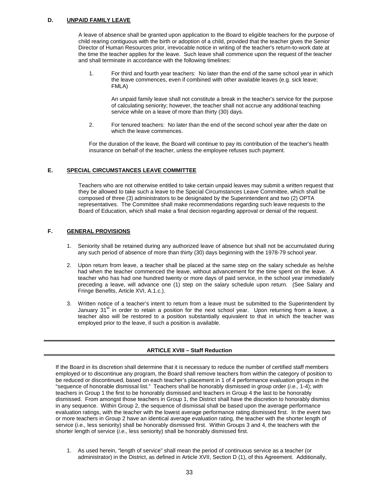# <span id="page-35-0"></span>**D. UNPAID FAMILY LEAVE**

A leave of absence shall be granted upon application to the Board to eligible teachers for the purpose of child rearing contiguous with the birth or adoption of a child, provided that the teacher gives the Senior Director of Human Resources prior, irrevocable notice in writing of the teacher's return-to-work date at the time the teacher applies for the leave. Such leave shall commence upon the request of the teacher and shall terminate in accordance with the following timelines:

1. For third and fourth year teachers: No later than the end of the same school year in which the leave commences, even if combined with other available leaves (e.g. sick leave; FMLA)

An unpaid family leave shall not constitute a break in the teacher's service for the purpose of calculating seniority; however, the teacher shall not accrue any additional teaching service while on a leave of more than thirty (30) days.

2. For tenured teachers: No later than the end of the second school year after the date on which the leave commences.

For the duration of the leave, the Board will continue to pay its contribution of the teacher's health insurance on behalf of the teacher, unless the employee refuses such payment.

# <span id="page-35-1"></span>**E. SPECIAL CIRCUMSTANCES LEAVE COMMITTEE**

Teachers who are not otherwise entitled to take certain unpaid leaves may submit a written request that they be allowed to take such a leave to the Special Circumstances Leave Committee, which shall be composed of three (3) administrators to be designated by the Superintendent and two (2) OPTA representatives. The Committee shall make recommendations regarding such leave requests to the Board of Education, which shall make a final decision regarding approval or denial of the request.

# <span id="page-35-2"></span>**F. GENERAL PROVISIONS**

- 1. Seniority shall be retained during any authorized leave of absence but shall not be accumulated during any such period of absence of more than thirty (30) days beginning with the 1978-79 school year.
- 2. Upon return from leave, a teacher shall be placed at the same step on the salary schedule as he/she had when the teacher commenced the leave, without advancement for the time spent on the leave. A teacher who has had one hundred twenty or more days of paid service, in the school year immediately preceding a leave, will advance one (1) step on the salary schedule upon return. (See Salary and Fringe Benefits, Article XVI, A.1.c.).
- 3. Written notice of a teacher's intent to return from a leave must be submitted to the Superintendent by January  $31<sup>st</sup>$  in order to retain a position for the next school year. Upon returning from a leave, a teacher also will be restored to a position substantially equivalent to that in which the teacher was employed prior to the leave, if such a position is available.

# **ARTICLE XVIII – Staff Reduction**

<span id="page-35-3"></span>If the Board in its discretion shall determine that it is necessary to reduce the number of certified staff members employed or to discontinue any program, the Board shall remove teachers from within the category of position to be reduced or discontinued, based on each teacher's placement in 1 of 4 performance evaluation groups in the "sequence of honorable dismissal list." Teachers shall be honorably dismissed in group order (*i.e.,* 1-4); with teachers in Group 1 the first to be honorably dismissed and teachers in Group 4 the last to be honorably dismissed. From amongst those teachers in Group 1, the District shall have the discretion to honorably dismiss in any sequence. Within Group 2, the sequence of dismissal shall be based upon the average performance evaluation ratings, with the teacher with the lowest average performance rating dismissed first. In the event two or more teachers in Group 2 have an identical average evaluation rating, the teacher with the shorter length of service (*i.e.,* less seniority) shall be honorably dismissed first. Within Groups 3 and 4, the teachers with the shorter length of service (*i.e.,* less seniority) shall be honorably dismissed first.

1. As used herein, "length of service" shall mean the period of continuous service as a teacher (or administrator) in the District, as defined in Article XVII, Section D (1), of this Agreement. Additionally,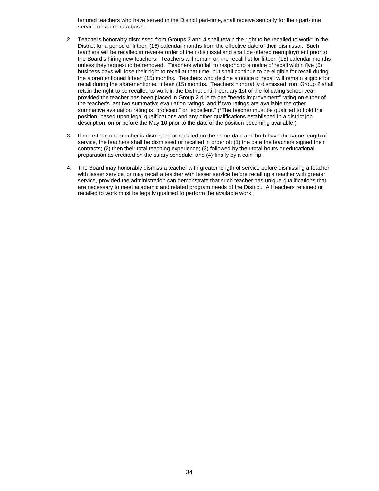tenured teachers who have served in the District part-time, shall receive seniority for their part-time service on a pro-rata basis.

- 2. Teachers honorably dismissed from Groups 3 and 4 shall retain the right to be recalled to work\* in the District for a period of fifteen (15) calendar months from the effective date of their dismissal. Such teachers will be recalled in reverse order of their dismissal and shall be offered reemployment prior to the Board's hiring new teachers. Teachers will remain on the recall list for fifteen (15) calendar months unless they request to be removed. Teachers who fail to respond to a notice of recall within five (5) business days will lose their right to recall at that time, but shall continue to be eligible for recall during the aforementioned fifteen (15) months. Teachers who decline a notice of recall will remain eligible for recall during the aforementioned fifteen (15) months. Teachers honorably dismissed from Group 2 shall retain the right to be recalled to work in the District until February 1st of the following school year, provided the teacher has been placed in Group 2 due to one "needs improvement" rating on either of the teacher's last two summative evaluation ratings, and if two ratings are available the other summative evaluation rating is "proficient" or "excellent." (\*The teacher must be qualified to hold the position, based upon legal qualifications and any other qualifications established in a district job description, on or before the May 10 prior to the date of the position becoming available.)
- 3. If more than one teacher is dismissed or recalled on the same date and both have the same length of service, the teachers shall be dismissed or recalled in order of: (1) the date the teachers signed their contracts; (2) then their total teaching experience; (3) followed by their total hours or educational preparation as credited on the salary schedule; and (4) finally by a coin flip.
- 4. The Board may honorably dismiss a teacher with greater length of service before dismissing a teacher with lesser service, or may recall a teacher with lesser service before recalling a teacher with greater service, provided the administration can demonstrate that such teacher has unique qualifications that are necessary to meet academic and related program needs of the District. All teachers retained or recalled to work must be legally qualified to perform the available work.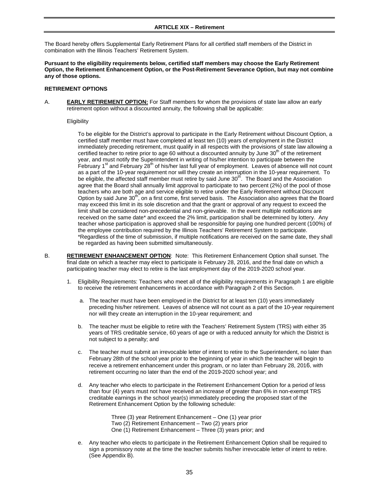# **ARTICLE XIX – Retirement**

<span id="page-37-0"></span>The Board hereby offers Supplemental Early Retirement Plans for all certified staff members of the District in combination with the Illinois Teachers' Retirement System.

**Pursuant to the eligibility requirements below, certified staff members may choose the Early Retirement Option, the Retirement Enhancement Option, or the Post-Retirement Severance Option, but may not combine any of those options.** 

#### **RETIREMENT OPTIONS**

A. **EARLY RETIREMENT OPTION:** For Staff members for whom the provisions of state law allow an early retirement option without a discounted annuity, the following shall be applicable:

#### **Eligibility**

To be eligible for the District's approval to participate in the Early Retirement without Discount Option, a certified staff member must have completed at least ten (10) years of employment in the District immediately preceding retirement, must qualify in all respects with the provisions of state law allowing a certified teacher to retire prior to age 60 without a discounted annuity by June  $30<sup>th</sup>$  of the retirement year, and must notify the Superintendent in writing of his/her intention to participate between the February 1<sup>st</sup> and February 28<sup>th</sup> of his/her last full year of employment. Leaves of absence will not count as a part of the 10-year requirement nor will they create an interruption in the 10-year requirement. To be eligible, the affected staff member must retire by said June  $30<sup>th</sup>$ . The Board and the Association agree that the Board shall annually limit approval to participate to two percent (2%) of the pool of those teachers who are both age and service eligible to retire under the Early Retirement without Discount Option by said June 30<sup>th</sup>, on a first come, first served basis. The Association also agrees that the Board may exceed this limit in its sole discretion and that the grant or approval of any request to exceed the limit shall be considered non-precedential and non-grievable. In the event multiple notifications are received on the same date\* and exceed the 2% limit, participation shall be determined by lottery. Any teacher whose participation is approved shall be responsible for paying one hundred percent (100%) of the employee contribution required by the Illinois Teachers' Retirement System to participate. \*Regardless of the time of submission, if multiple notifications are received on the same date, they shall be regarded as having been submitted simultaneously.

- B. **RETIREMENT ENHANCEMENT OPTION**: Note: This Retirement Enhancement Option shall sunset. The final date on which a teacher may elect to participate is February 28, 2016, and the final date on which a participating teacher may elect to retire is the last employment day of the 2019-2020 school year.
	- 1. Eligibility Requirements: Teachers who meet all of the eligibility requirements in Paragraph 1 are eligible to receive the retirement enhancements in accordance with Paragraph 2 of this Section.
		- a. The teacher must have been employed in the District for at least ten (10) years immediately preceding his/her retirement. Leaves of absence will not count as a part of the 10-year requirement nor will they create an interruption in the 10-year requirement; and
		- b. The teacher must be eligible to retire with the Teachers' Retirement System (TRS) with either 35 years of TRS creditable service, 60 years of age or with a reduced annuity for which the District is not subject to a penalty; and
		- c. The teacher must submit an irrevocable letter of intent to retire to the Superintendent, no later than February 28th of the school year prior to the beginning of year in which the teacher will begin to receive a retirement enhancement under this program, or no later than February 28, 2016, with retirement occurring no later than the end of the 2019-2020 school year; and
		- d. Any teacher who elects to participate in the Retirement Enhancement Option for a period of less than four (4) years must not have received an increase of greater than 6% in non-exempt TRS creditable earnings in the school year(s) immediately preceding the proposed start of the Retirement Enhancement Option by the following schedule:

Three (3) year Retirement Enhancement – One (1) year prior

- Two (2) Retirement Enhancement Two (2) years prior
- One (1) Retirement Enhancement Three (3) years prior; and
- e. Any teacher who elects to participate in the Retirement Enhancement Option shall be required to sign a promissory note at the time the teacher submits his/her irrevocable letter of intent to retire. (See Appendix B).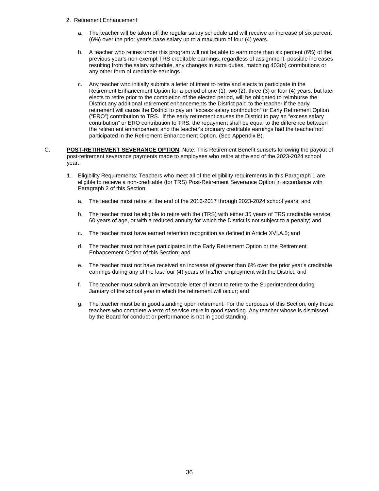- 2. Retirement Enhancement
	- a. The teacher will be taken off the regular salary schedule and will receive an increase of six percent (6%) over the prior year's base salary up to a maximum of four (4) years.
	- b. A teacher who retires under this program will not be able to earn more than six percent (6%) of the previous year's non-exempt TRS creditable earnings, regardless of assignment, possible increases resulting from the salary schedule, any changes in extra duties, matching 403(b) contributions or any other form of creditable earnings.
	- c. Any teacher who initially submits a letter of intent to retire and elects to participate in the Retirement Enhancement Option for a period of one (1), two (2), three (3) or four (4) years, but later elects to retire prior to the completion of the elected period, will be obligated to reimburse the District any additional retirement enhancements the District paid to the teacher if the early retirement will cause the District to pay an "excess salary contribution" or Early Retirement Option ("ERO") contribution to TRS. If the early retirement causes the District to pay an "excess salary contribution" or ERO contribution to TRS, the repayment shall be equal to the difference between the retirement enhancement and the teacher's ordinary creditable earnings had the teacher not participated in the Retirement Enhancement Option. (See Appendix B).
- C. **POST-RETIREMENT SEVERANCE OPTION**: Note: This Retirement Benefit sunsets following the payout of post-retirement severance payments made to employees who retire at the end of the 2023-2024 school year.
	- 1. Eligibility Requirements: Teachers who meet all of the eligibility requirements in this Paragraph 1 are eligible to receive a non-creditable (for TRS) Post-Retirement Severance Option in accordance with Paragraph 2 of this Section.
		- a. The teacher must retire at the end of the 2016-2017 through 2023-2024 school years; and
		- b. The teacher must be eligible to retire with the (TRS) with either 35 years of TRS creditable service, 60 years of age, or with a reduced annuity for which the District is not subject to a penalty; and
		- c. The teacher must have earned retention recognition as defined in Article XVI.A.5; and
		- d. The teacher must not have participated in the Early Retirement Option or the Retirement Enhancement Option of this Section; and
		- e. The teacher must not have received an increase of greater than 6% over the prior year's creditable earnings during any of the last four (4) years of his/her employment with the District; and
		- f. The teacher must submit an irrevocable letter of intent to retire to the Superintendent during January of the school year in which the retirement will occur; and
		- g. The teacher must be in good standing upon retirement. For the purposes of this Section, only those teachers who complete a term of service retire in good standing. Any teacher whose is dismissed by the Board for conduct or performance is not in good standing.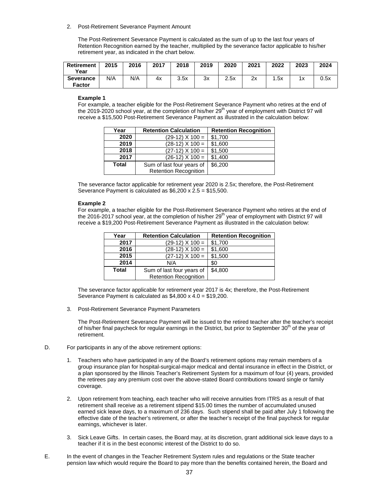#### 2. Post-Retirement Severance Payment Amount

The Post-Retirement Severance Payment is calculated as the sum of up to the last four years of Retention Recognition earned by the teacher, multiplied by the severance factor applicable to his/her retirement year, as indicated in the chart below.

| <b>Retirement</b><br>Year         | 2015 | 2016 | 2017 | 2018 | 2019 | 2020 | 2021 | 2022 | 2023     | 2024 |
|-----------------------------------|------|------|------|------|------|------|------|------|----------|------|
| <b>Severance</b><br><b>Factor</b> | N/A  | N/A  | 4х   | 3.5x | 3x   | 2.5x | 2x   | .5x  | 1.7<br>^ | 0.5x |

#### **Example 1**

For example, a teacher eligible for the Post-Retirement Severance Payment who retires at the end of the 2019-2020 school year, at the completion of his/her 29<sup>th</sup> year of employment with District 97 will receive a \$15,500 Post-Retirement Severance Payment as illustrated in the calculation below:

| Year         | <b>Retention Calculation</b> | <b>Retention Recognition</b> |
|--------------|------------------------------|------------------------------|
| 2020         | $(29-12)$ X 100 =            | \$1,700                      |
| 2019         | $(28-12)$ X 100 =            | \$1,600                      |
| 2018         | $(27-12)$ X 100 =            | \$1,500                      |
| 2017         | $(26-12)$ X 100 =            | \$1,400                      |
| <b>Total</b> | Sum of last four years of    | \$6,200                      |
|              | <b>Retention Recognition</b> |                              |

The severance factor applicable for retirement year 2020 is 2.5x; therefore, the Post-Retirement Severance Payment is calculated as \$6,200 x 2.5 = \$15,500.

#### **Example 2**

For example, a teacher eligible for the Post-Retirement Severance Payment who retires at the end of the 2016-2017 school year, at the completion of his/her 29<sup>th</sup> year of employment with District 97 will receive a \$19,200 Post-Retirement Severance Payment as illustrated in the calculation below:

| Year         | <b>Retention Calculation</b> | <b>Retention Recognition</b> |
|--------------|------------------------------|------------------------------|
| 2017         | $(29-12)$ X 100 =            | \$1,700                      |
| 2016         | $(28-12)$ X 100 =            | \$1,600                      |
| 2015         | $(27-12)$ X 100 =            | \$1,500                      |
| 2014         | N/A                          | \$0                          |
| <b>Total</b> | Sum of last four years of    | \$4,800                      |
|              | <b>Retention Recognition</b> |                              |

The severance factor applicable for retirement year 2017 is 4x; therefore, the Post-Retirement Severance Payment is calculated as \$4,800 x 4.0 = \$19,200.

3. Post-Retirement Severance Payment Parameters

The Post-Retirement Severance Payment will be issued to the retired teacher after the teacher's receipt of his/her final paycheck for regular earnings in the District, but prior to September  $30<sup>th</sup>$  of the year of retirement.

- D. For participants in any of the above retirement options:
	- 1. Teachers who have participated in any of the Board's retirement options may remain members of a group insurance plan for hospital-surgical-major medical and dental insurance in effect in the District, or a plan sponsored by the Illinois Teacher's Retirement System for a maximum of four (4) years, provided the retirees pay any premium cost over the above-stated Board contributions toward single or family coverage.
	- 2. Upon retirement from teaching, each teacher who will receive annuities from ITRS as a result of that retirement shall receive as a retirement stipend \$15.00 times the number of accumulated unused earned sick leave days, to a maximum of 236 days. Such stipend shall be paid after July 1 following the effective date of the teacher's retirement, or after the teacher's receipt of the final paycheck for regular earnings, whichever is later.
	- 3. Sick Leave Gifts. In certain cases, the Board may, at its discretion, grant additional sick leave days to a teacher if it is in the best economic interest of the District to do so.
- E. In the event of changes in the Teacher Retirement System rules and regulations or the State teacher pension law which would require the Board to pay more than the benefits contained herein, the Board and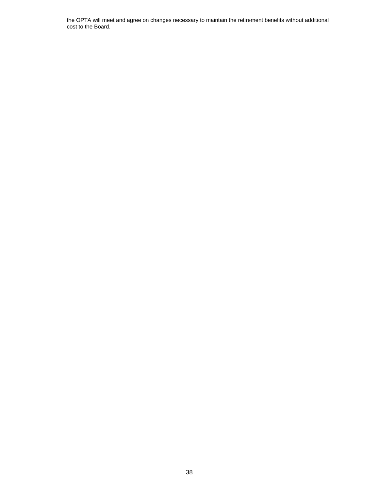the OPTA will meet and agree on changes necessary to maintain the retirement benefits without additional cost to the Board.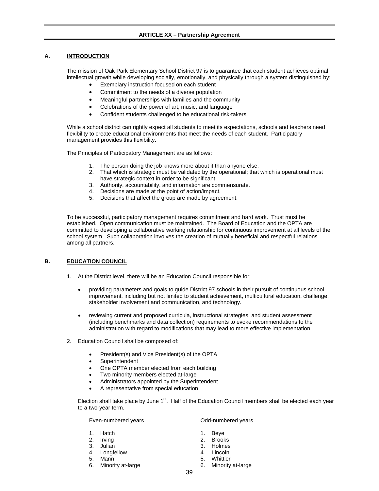# **ARTICLE XX – Partnership Agreement**

# <span id="page-41-1"></span><span id="page-41-0"></span>**A. INTRODUCTION**

The mission of Oak Park Elementary School District 97 is to guarantee that each student achieves optimal intellectual growth while developing socially, emotionally, and physically through a system distinguished by:

- Exemplary instruction focused on each student
- Commitment to the needs of a diverse population
- Meaningful partnerships with families and the community
- Celebrations of the power of art, music, and language
- Confident students challenged to be educational risk-takers

While a school district can rightly expect all students to meet its expectations, schools and teachers need flexibility to create educational environments that meet the needs of each student. Participatory management provides this flexibility.

The Principles of Participatory Management are as follows:

- 1. The person doing the job knows more about it than anyone else.
- 2. That which is strategic must be validated by the operational; that which is operational must have strategic context in order to be significant.
- 3. Authority, accountability, and information are commensurate.
- 4. Decisions are made at the point of action/impact.
- 5. Decisions that affect the group are made by agreement.

To be successful, participatory management requires commitment and hard work. Trust must be established. Open communication must be maintained. The Board of Education and the OPTA are committed to developing a collaborative working relationship for continuous improvement at all levels of the school system. Such collaboration involves the creation of mutually beneficial and respectful relations among all partners.

# <span id="page-41-2"></span>**B. EDUCATION COUNCIL**

- 1. At the District level, there will be an Education Council responsible for:
	- providing parameters and goals to guide District 97 schools in their pursuit of continuous school improvement, including but not limited to student achievement, multicultural education, challenge, stakeholder involvement and communication, and technology.
	- reviewing current and proposed curricula, instructional strategies, and student assessment (including benchmarks and data collection) requirements to evoke recommendations to the administration with regard to modifications that may lead to more effective implementation.
- 2. Education Council shall be composed of:
	- President(s) and Vice President(s) of the OPTA
	- **Superintendent**
	- One OPTA member elected from each building
	- Two minority members elected at-large
	- Administrators appointed by the Superintendent
	- A representative from special education

Election shall take place by June  $1<sup>st</sup>$ . Half of the Education Council members shall be elected each year to a two-year term.

Even-numbered years **Contact Contact Contact Contact Contact Contact Contact Contact Contact Contact Contact Contact Contact Contact Contact Contact Contact Contact Contact Contact Contact Contact Contact Contact Contact C** 

- 
- 
- 
- 4. Longfellow 4. Lincoln
- 
- 5. Mann 5. Whittier<br>6. Minority at-large 6. Minority

- 1. Hatch 1. Beye
	- 2. Brooks<br>3. Holmes
- 3. Julian 3. Holmes
	-
	-
	- 6. Minority at-large 6. Minority at-large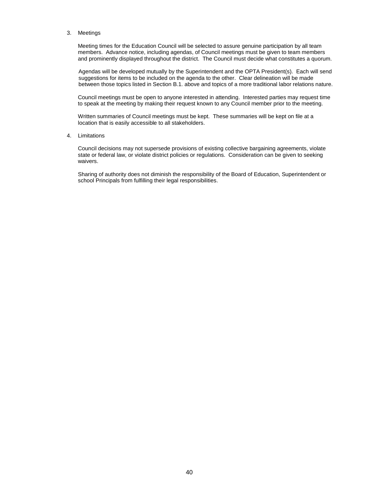#### 3. Meetings

Meeting times for the Education Council will be selected to assure genuine participation by all team members. Advance notice, including agendas, of Council meetings must be given to team members and prominently displayed throughout the district. The Council must decide what constitutes a quorum.

Agendas will be developed mutually by the Superintendent and the OPTA President(s). Each will send suggestions for items to be included on the agenda to the other. Clear delineation will be made between those topics listed in Section B.1. above and topics of a more traditional labor relations nature.

Council meetings must be open to anyone interested in attending. Interested parties may request time to speak at the meeting by making their request known to any Council member prior to the meeting.

Written summaries of Council meetings must be kept. These summaries will be kept on file at a location that is easily accessible to all stakeholders.

#### 4. Limitations

Council decisions may not supersede provisions of existing collective bargaining agreements, violate state or federal law, or violate district policies or regulations. Consideration can be given to seeking waivers.

Sharing of authority does not diminish the responsibility of the Board of Education, Superintendent or school Principals from fulfilling their legal responsibilities.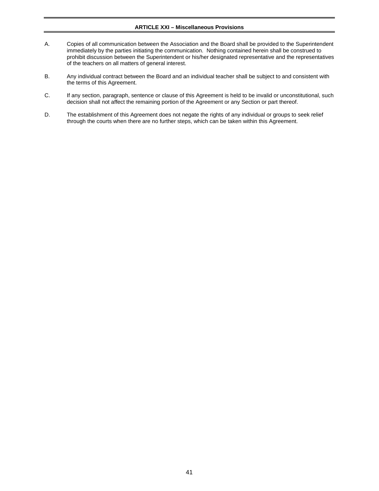# **ARTICLE XXI – Miscellaneous Provisions**

- <span id="page-43-0"></span>A. Copies of all communication between the Association and the Board shall be provided to the Superintendent immediately by the parties initiating the communication. Nothing contained herein shall be construed to prohibit discussion between the Superintendent or his/her designated representative and the representatives of the teachers on all matters of general interest.
- B. Any individual contract between the Board and an individual teacher shall be subject to and consistent with the terms of this Agreement.
- C. If any section, paragraph, sentence or clause of this Agreement is held to be invalid or unconstitutional, such decision shall not affect the remaining portion of the Agreement or any Section or part thereof.
- D. The establishment of this Agreement does not negate the rights of any individual or groups to seek relief through the courts when there are no further steps, which can be taken within this Agreement.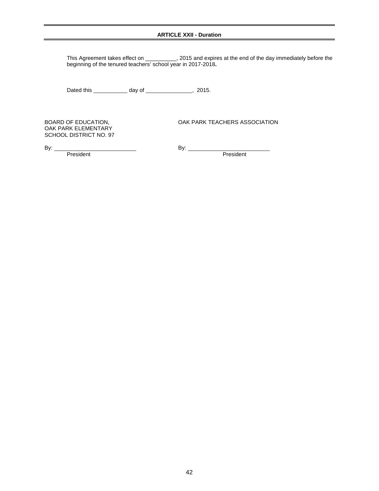# **ARTICLE XXII - Duration**

<span id="page-44-0"></span>This Agreement takes effect on \_\_\_\_\_\_\_\_\_\_, 2015 and expires at the end of the day immediately before the beginning of the tenured teachers' school year in 2017-2018**.**

Dated this \_\_\_\_\_\_\_\_\_\_\_\_\_ day of \_\_\_\_\_\_\_\_\_\_\_\_\_\_\_\_\_\_, 2015.

OAK PARK ELEMENTARY SCHOOL DISTRICT NO. 97

BOARD OF EDUCATION, THE STATE OAK PARK TEACHERS ASSOCIATION

By: <u>President</u>

By: President

42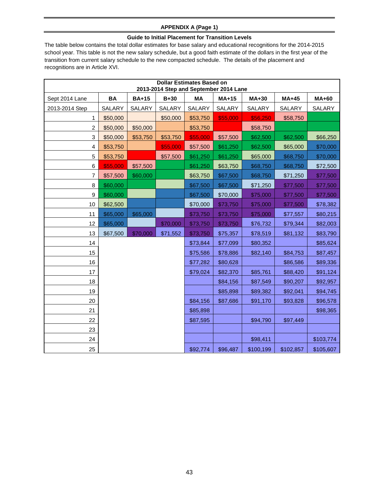# **APPENDIX A (Page 1)**

# **Guide to Initial Placement for Transition Levels**

<span id="page-45-0"></span>The table below contains the total dollar estimates for base salary and educational recognitions for the 2014-2015 school year. This table is not the new salary schedule, but a good faith estimate of the dollars in the first year of the transition from current salary schedule to the new compacted schedule. The details of the placement and recognitions are in Article XVI.

| <b>Dollar Estimates Based on</b><br>2013-2014 Step and September 2014 Lane |           |              |          |          |          |              |           |              |
|----------------------------------------------------------------------------|-----------|--------------|----------|----------|----------|--------------|-----------|--------------|
| Sept 2014 Lane                                                             | <b>BA</b> | <b>BA+15</b> | $B+30$   | MA       | MA+15    | <b>MA+30</b> | MA+45     | <b>MA+60</b> |
| 2013-2014 Step                                                             | SALARY    | SALARY       | SALARY   | SALARY   | SALARY   | SALARY       | SALARY    | SALARY       |
| 1                                                                          | \$50,000  |              | \$50,000 | \$53,750 | \$55,000 | \$56,250     | \$58,750  |              |
| $\overline{\mathbf{c}}$                                                    | \$50,000  | \$50,000     |          | \$53,750 |          | \$58,750     |           |              |
| 3                                                                          | \$50,000  | \$53,750     | \$53,750 | \$55,000 | \$57,500 | \$62,500     | \$62,500  | \$66,250     |
| 4                                                                          | \$53,750  |              | \$55,000 | \$57,500 | \$61,250 | \$62,500     | \$65,000  | \$70,000     |
| 5                                                                          | \$53,750  |              | \$57,500 | \$61,250 | \$61,250 | \$65,000     | \$68,750  | \$70,000     |
| 6                                                                          | \$55,000  | \$57,500     |          | \$61,250 | \$63,750 | \$68,750     | \$68,750  | \$72,500     |
| $\overline{7}$                                                             | \$57,500  | \$60,000     |          | \$63,750 | \$67,500 | \$68,750     | \$71,250  | \$77,500     |
| 8                                                                          | \$60,000  |              |          | \$67,500 | \$67,500 | \$71,250     | \$77,500  | \$77,500     |
| 9                                                                          | \$60,000  |              |          | \$67,500 | \$70,000 | \$75,000     | \$77,500  | \$77,500     |
| 10                                                                         | \$62,500  |              |          | \$70,000 | \$73,750 | \$75,000     | \$77,500  | \$78,382     |
| 11                                                                         | \$65,000  | \$65,000     |          | \$73,750 | \$73,750 | \$75,000     | \$77,557  | \$80,215     |
| 12                                                                         | \$65,000  |              | \$70,000 | \$73,750 | \$73,750 | \$76,732     | \$79,344  | \$82,003     |
| 13                                                                         | \$67,500  | \$70,000     | \$71,552 | \$73,750 | \$75,357 | \$78,519     | \$81,132  | \$83,790     |
| 14                                                                         |           |              |          | \$73,844 | \$77,099 | \$80,352     |           | \$85,624     |
| 15                                                                         |           |              |          | \$75,586 | \$78,886 | \$82,140     | \$84,753  | \$87,457     |
| 16                                                                         |           |              |          | \$77,282 | \$80,628 |              | \$86,586  | \$89,336     |
| 17                                                                         |           |              |          | \$79,024 | \$82,370 | \$85,761     | \$88,420  | \$91,124     |
| 18                                                                         |           |              |          |          | \$84,156 | \$87,549     | \$90,207  | \$92,957     |
| 19                                                                         |           |              |          |          | \$85,898 | \$89,382     | \$92,041  | \$94,745     |
| 20                                                                         |           |              |          | \$84,156 | \$87,686 | \$91,170     | \$93,828  | \$96,578     |
| 21                                                                         |           |              |          | \$85,898 |          |              |           | \$98,365     |
| 22                                                                         |           |              |          | \$87,595 |          | \$94,790     | \$97,449  |              |
| 23                                                                         |           |              |          |          |          |              |           |              |
| 24                                                                         |           |              |          |          |          | \$98,411     |           | \$103,774    |
| 25                                                                         |           |              |          | \$92,774 | \$96,487 | \$100,199    | \$102,857 | \$105,607    |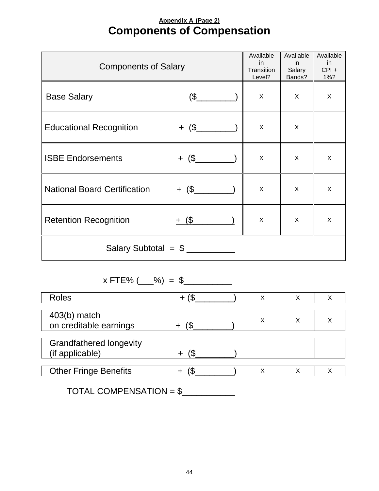# **Appendix A (Page 2) Components of Compensation**

<span id="page-46-0"></span>

| <b>Components of Salary</b>         | Available<br>in.<br>Transition<br>Level? | Available<br>in.<br>Salary<br>Bands? | Available<br><sub>in</sub><br>$CPI +$<br>1%? |   |  |
|-------------------------------------|------------------------------------------|--------------------------------------|----------------------------------------------|---|--|
| <b>Base Salary</b>                  | $$\mathbb{S}$$                           | X                                    | X                                            | X |  |
| <b>Educational Recognition</b>      |                                          | X                                    | X                                            |   |  |
| <b>ISBE Endorsements</b>            | $+$ $($ \$                               | X                                    | X                                            | X |  |
| <b>National Board Certification</b> |                                          | X                                    | X                                            | X |  |
| <b>Retention Recognition</b>        | $+$ (\$                                  | X                                    | X                                            | X |  |
| Salary Subtotal = $\frac{1}{2}$     |                                          |                                      |                                              |   |  |

 $x$  FTE% (  $\_\%$  = \$

| <b>Roles</b>                                      |  | х | Х | Х |
|---------------------------------------------------|--|---|---|---|
| $403(b)$ match<br>on creditable earnings          |  | Х |   | х |
| <b>Grandfathered longevity</b><br>(if applicable) |  |   |   |   |
| <b>Other Fringe Benefits</b>                      |  | Χ | Χ | Χ |

 $TOTAL COMPENSION = $$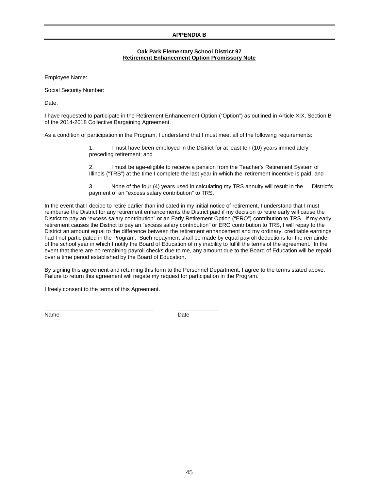# **APPENDIX B**

# **Oak Park Elementary School District 97 Retirement Enhancement Option Promissory Note**

<span id="page-47-0"></span>Employee Name:

Social Security Number:

Date:

I have requested to participate in the Retirement Enhancement Option ("Option") as outlined in Article XIX, Section B of the 2014-2018 Collective Bargaining Agreement.

As a condition of participation in the Program, I understand that I must meet all of the following requirements:

1. I must have been employed in the District for at least ten (10) years immediately preceding retirement; and

2. I must be age-eligible to receive a pension from the Teacher's Retirement System of Illinois ("TRS") at the time I complete the last year in which the retirement incentive is paid; and

3. None of the four (4) years used in calculating my TRS annuity will result in the District's payment of an "excess salary contribution" to TRS.

In the event that I decide to retire earlier than indicated in my initial notice of retirement, I understand that I must reimburse the District for any retirement enhancements the District paid if my decision to retire early will cause the District to pay an "excess salary contribution" or an Early Retirement Option ("ERO") contribution to TRS. If my early retirement causes the District to pay an "excess salary contribution" or ERO contribution to TRS, I will repay to the District an amount equal to the difference between the retirement enhancement and my ordinary, creditable earnings had I not participated in the Program. Such repayment shall be made by equal payroll deductions for the remainder of the school year in which I notify the Board of Education of my inability to fulfill the terms of the agreement. In the event that there are no remaining payroll checks due to me, any amount due to the Board of Education will be repaid over a time period established by the Board of Education.

By signing this agreement and returning this form to the Personnel Department, I agree to the terms stated above. Failure to return this agreement will negate my request for participation in the Program.

I freely consent to the terms of this Agreement.

\_\_\_\_\_\_\_\_\_\_\_\_\_\_\_\_\_\_\_\_\_\_\_\_\_\_\_\_\_\_\_\_\_\_\_ \_\_\_\_\_\_\_\_\_\_\_\_\_ Name Date **Date**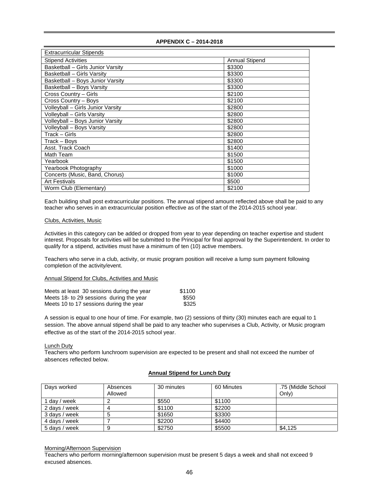<span id="page-48-1"></span><span id="page-48-0"></span>

| <b>Extracurricular Stipends</b>   |                       |
|-----------------------------------|-----------------------|
| <b>Stipend Activities</b>         | <b>Annual Stipend</b> |
| Basketball - Girls Junior Varsity | \$3300                |
| Basketball - Girls Varsity        | \$3300                |
| Basketball - Boys Junior Varsity  | \$3300                |
| Basketball - Boys Varsity         | \$3300                |
| Cross Country - Girls             | \$2100                |
| Cross Country - Boys              | \$2100                |
| Volleyball - Girls Junior Varsity | \$2800                |
| Volleyball - Girls Varsity        | \$2800                |
| Volleyball - Boys Junior Varsity  | \$2800                |
| Volleyball - Boys Varsity         | \$2800                |
| Track – Girls                     | \$2800                |
| Track – Boys                      | \$2800                |
| Asst. Track Coach                 | \$1400                |
| Math Team                         | \$1500                |
| Yearbook                          | \$1500                |
| Yearbook Photography              | \$1000                |
| Concerts (Music, Band, Chorus)    | \$1000                |
| <b>Art Festivals</b>              | \$500                 |
| Worm Club (Elementary)            | \$2100                |

Each building shall post extracurricular positions. The annual stipend amount reflected above shall be paid to any teacher who serves in an extracurricular position effective as of the start of the 2014-2015 school year.

#### <span id="page-48-2"></span>Clubs, Activities, Music

Activities in this category can be added or dropped from year to year depending on teacher expertise and student interest. Proposals for activities will be submitted to the Principal for final approval by the Superintendent. In order to qualify for a stipend, activities must have a minimum of ten (10) active members.

Teachers who serve in a club, activity, or music program position will receive a lump sum payment following completion of the activity/event.

#### <span id="page-48-3"></span>Annual Stipend for Clubs, Activities and Music

| Meets at least 30 sessions during the year | \$1100 |
|--------------------------------------------|--------|
| Meets 18- to 29 sessions during the year   | \$550  |
| Meets 10 to 17 sessions during the year    | \$325  |

A session is equal to one hour of time. For example, two (2) sessions of thirty (30) minutes each are equal to 1 session. The above annual stipend shall be paid to any teacher who supervises a Club, Activity, or Music program effective as of the start of the 2014-2015 school year.

# <span id="page-48-4"></span>Lunch Duty

Teachers who perform lunchroom supervision are expected to be present and shall not exceed the number of absences reflected below.

#### **Annual Stipend for Lunch Duty**

| Days worked   | Absences<br>Allowed | 30 minutes | 60 Minutes | .75 (Middle School)<br>Only) |
|---------------|---------------------|------------|------------|------------------------------|
| 1 dav / week  |                     | \$550      | \$1100     |                              |
| 2 days / week |                     | \$1100     | \$2200     |                              |
| 3 days / week |                     | \$1650     | \$3300     |                              |
| 4 days / week |                     | \$2200     | \$4400     |                              |
| 5 days / week |                     | \$2750     | \$5500     | \$4,125                      |

#### <span id="page-48-5"></span>Morning/Afternoon Supervision

Teachers who perform morning/afternoon supervision must be present 5 days a week and shall not exceed 9 excused absences.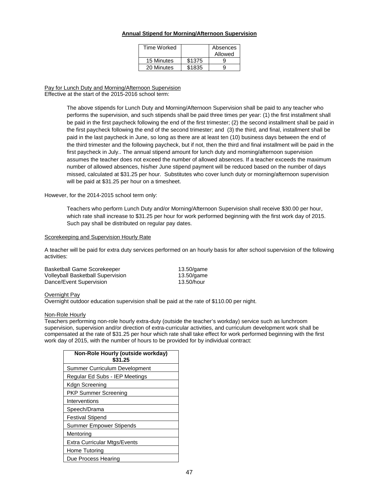#### **Annual Stipend for Morning/Afternoon Supervision**

| Time Worked |        | Absences |
|-------------|--------|----------|
|             |        | Allowed  |
| 15 Minutes  | \$1375 |          |
| 20 Minutes  | \$1835 |          |

<span id="page-49-0"></span>Pay for Lunch Duty and Morning/Afternoon Supervision Effective at the start of the 2015-2016 school term:

> The above stipends for Lunch Duty and Morning/Afternoon Supervision shall be paid to any teacher who performs the supervision, and such stipends shall be paid three times per year: (1) the first installment shall be paid in the first paycheck following the end of the first trimester; (2) the second installment shall be paid in the first paycheck following the end of the second trimester; and (3) the third, and final, installment shall be paid in the last paycheck in June, so long as there are at least ten (10) business days between the end of the third trimester and the following paycheck, but if not, then the third and final installment will be paid in the first paycheck in July.. The annual stipend amount for lunch duty and morning/afternoon supervision assumes the teacher does not exceed the number of allowed absences. If a teacher exceeds the maximum number of allowed absences, his/her June stipend payment will be reduced based on the number of days missed, calculated at \$31.25 per hour. Substitutes who cover lunch duty or morning/afternoon supervision will be paid at \$31.25 per hour on a timesheet.

However, for the 2014-2015 school term only:

Teachers who perform Lunch Duty and/or Morning/Afternoon Supervision shall receive \$30.00 per hour, which rate shall increase to \$31.25 per hour for work performed beginning with the first work day of 2015. Such pay shall be distributed on regular pay dates.

#### <span id="page-49-1"></span>Scorekeeping and Supervision Hourly Rate

A teacher will be paid for extra duty services performed on an hourly basis for after school supervision of the following activities:

| <b>Basketball Game Scorekeeper</b> | 13.50/game |
|------------------------------------|------------|
| Volleyball Basketball Supervision  | 13.50/game |
| Dance/Event Supervision            | 13.50/hour |

#### <span id="page-49-2"></span>Overnight Pay

Overnight outdoor education supervision shall be paid at the rate of \$110.00 per night.

#### <span id="page-49-3"></span>Non-Role Hourly

Teachers performing non-role hourly extra-duty (outside the teacher's workday) service such as lunchroom supervision, supervision and/or direction of extra-curricular activities, and curriculum development work shall be compensated at the rate of \$31.25 per hour which rate shall take effect for work performed beginning with the first work day of 2015, with the number of hours to be provided for by individual contract:

| Non-Role Hourly (outside workday)<br>\$31.25 |
|----------------------------------------------|
| Summer Curriculum Development                |
| Regular Ed Subs - IEP Meetings               |
| Kdgn Screening                               |
| <b>PKP Summer Screening</b>                  |
| Interventions                                |
| Speech/Drama                                 |
| <b>Festival Stipend</b>                      |
| <b>Summer Empower Stipends</b>               |
| Mentoring                                    |
| <b>Extra Curricular Mtgs/Events</b>          |
| Home Tutoring                                |
| Due Process Hearing                          |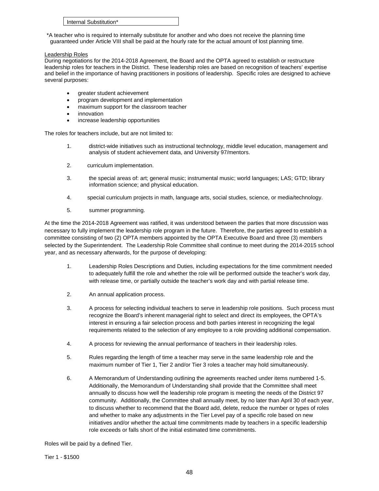| Internal Substitution* |  |
|------------------------|--|
|------------------------|--|

\*A teacher who is required to internally substitute for another and who does not receive the planning time guaranteed under Article VIII shall be paid at the hourly rate for the actual amount of lost planning time.

# <span id="page-50-0"></span>Leadership Roles

During negotiations for the 2014-2018 Agreement, the Board and the OPTA agreed to establish or restructure leadership roles for teachers in the District. These leadership roles are based on recognition of teachers' expertise and belief in the importance of having practitioners in positions of leadership. Specific roles are designed to achieve several purposes:

- areater student achievement
- program development and implementation
- maximum support for the classroom teacher
- innovation
- increase leadership opportunities

The roles for teachers include, but are not limited to:

- 1. district-wide initiatives such as instructional technology, middle level education, management and analysis of student achievement data, and University 97/mentors.
- 2. curriculum implementation.
- 3. the special areas of: art; general music; instrumental music; world languages; LAS; GTD; library information science; and physical education.
- 4. special curriculum projects in math, language arts, social studies, science, or media/technology.
- 5. summer programming.

At the time the 2014-2018 Agreement was ratified, it was understood between the parties that more discussion was necessary to fully implement the leadership role program in the future. Therefore, the parties agreed to establish a committee consisting of two (2) OPTA members appointed by the OPTA Executive Board and three (3) members selected by the Superintendent. The Leadership Role Committee shall continue to meet during the 2014-2015 school year, and as necessary afterwards, for the purpose of developing:

- 1. Leadership Roles Descriptions and Duties, including expectations for the time commitment needed to adequately fulfill the role and whether the role will be performed outside the teacher's work day, with release time, or partially outside the teacher's work day and with partial release time.
- 2. An annual application process.
- 3. A process for selecting individual teachers to serve in leadership role positions. Such process must recognize the Board's inherent managerial right to select and direct its employees, the OPTA's interest in ensuring a fair selection process and both parties interest in recognizing the legal requirements related to the selection of any employee to a role providing additional compensation.
- 4. A process for reviewing the annual performance of teachers in their leadership roles.
- 5. Rules regarding the length of time a teacher may serve in the same leadership role and the maximum number of Tier 1, Tier 2 and/or Tier 3 roles a teacher may hold simultaneously.
- 6. A Memorandum of Understanding outlining the agreements reached under items numbered 1-5. Additionally, the Memorandum of Understanding shall provide that the Committee shall meet annually to discuss how well the leadership role program is meeting the needs of the District 97 community. Additionally, the Committee shall annually meet, by no later than April 30 of each year, to discuss whether to recommend that the Board add, delete, reduce the number or types of roles and whether to make any adjustments in the Tier Level pay of a specific role based on new initiatives and/or whether the actual time commitments made by teachers in a specific leadership role exceeds or falls short of the initial estimated time commitments.

Roles will be paid by a defined Tier.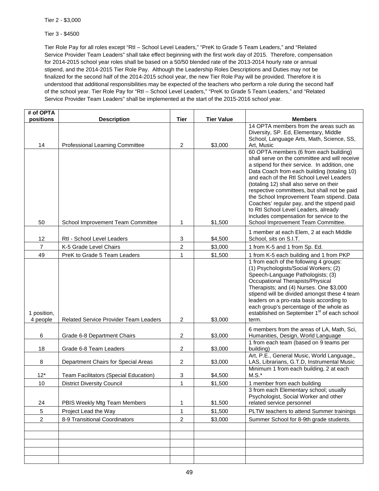Tier 2 - \$3,000

Tier 3 - \$4500

Tier Role Pay for all roles except "RtI – School Level Leaders," "PreK to Grade 5 Team Leaders," and "Related Service Provider Team Leaders" shall take effect beginning with the first work day of 2015. Therefore, compensation for 2014-2015 school year roles shall be based on a 50/50 blended rate of the 2013-2014 hourly rate or annual stipend, and the 2014-2015 Tier Role Pay. Although the Leadership Roles Descriptions and Duties may not be finalized for the second half of the 2014-2015 school year, the new Tier Role Pay will be provided. Therefore it is understood that additional responsibilities may be expected of the teachers who perform a role during the second half of the school year. Tier Role Pay for "RtI – School Level Leaders," "PreK to Grade 5 Team Leaders," and "Related Service Provider Team Leaders" shall be implemented at the start of the 2015-2016 school year.

| # of OPTA               |                                              |                |                   |                                                                                                                                                                                                                                                                                                                                                                                                                                                                                                               |
|-------------------------|----------------------------------------------|----------------|-------------------|---------------------------------------------------------------------------------------------------------------------------------------------------------------------------------------------------------------------------------------------------------------------------------------------------------------------------------------------------------------------------------------------------------------------------------------------------------------------------------------------------------------|
| positions               | <b>Description</b>                           | <b>Tier</b>    | <b>Tier Value</b> | <b>Members</b>                                                                                                                                                                                                                                                                                                                                                                                                                                                                                                |
| 14                      | Professional Learning Committee              | $\overline{2}$ | \$3,000           | 14 OPTA members from the areas such as<br>Diversity, SP. Ed, Elementary, Middle<br>School, Language Arts, Math, Science, SS,<br>Art, Music                                                                                                                                                                                                                                                                                                                                                                    |
|                         |                                              |                |                   | 60 OPTA members (6 from each building)<br>shall serve on the committee and will receive<br>a stipend for their service. In addition, one<br>Data Coach from each building (totaling 10)<br>and each of the Rtl School Level Leaders<br>(totaling 12) shall also serve on their<br>respective committees, but shall not be paid<br>the School Improvement Team stipend. Data<br>Coaches' regular pay, and the stipend paid<br>to Rtl School Level Leaders, already<br>includes compensation for service to the |
| 50                      | School Improvement Team Committee            | 1              | \$1,500           | School Improvement Team Committee.                                                                                                                                                                                                                                                                                                                                                                                                                                                                            |
| 12                      | Rtl - School Level Leaders                   | 3              | \$4,500           | 1 member at each Elem, 2 at each Middle<br>School, sits on S.I.T.                                                                                                                                                                                                                                                                                                                                                                                                                                             |
| $\overline{7}$          | K-5 Grade Level Chairs                       | $\overline{c}$ | \$3,000           | 1 from K-5 and 1 from Sp. Ed.                                                                                                                                                                                                                                                                                                                                                                                                                                                                                 |
| 49                      | PreK to Grade 5 Team Leaders                 | $\mathbf{1}$   | \$1,500           | 1 from K-5 each building and 1 from PKP                                                                                                                                                                                                                                                                                                                                                                                                                                                                       |
| 1 position,<br>4 people | <b>Related Service Provider Team Leaders</b> | $\overline{c}$ | \$3,000           | 1 from each of the following 4 groups:<br>(1) Psychologists/Social Workers; (2)<br>Speech-Language Pathologists; (3)<br>Occupational Therapists/Physical<br>Therapists; and (4) Nurses. One \$3,000<br>stipend will be divided amongst these 4 team<br>leaders on a pro-rata basis according to<br>each group's percentage of the whole as<br>established on September 1 <sup>st</sup> of each school<br>term.                                                                                                |
| 6                       | Grade 6-8 Department Chairs                  | $\overline{c}$ | \$3,000           | 6 members from the areas of LA, Math, Sci,<br>Humanities, Design, World Language                                                                                                                                                                                                                                                                                                                                                                                                                              |
| 18                      | Grade 6-8 Team Leaders                       | 2              | \$3,000           | 1 from each team (based on 9 teams per<br>building)                                                                                                                                                                                                                                                                                                                                                                                                                                                           |
| 8                       | Department Chairs for Special Areas          | 2              | \$3,000           | Art, P.E., General Music, World Language,,<br>LAS, Librarians, G.T.D, Instrumental Music                                                                                                                                                                                                                                                                                                                                                                                                                      |
| $12*$                   | Team Facilitators (Special Education)        | 3              | \$4,500           | Minimum 1 from each building, 2 at each<br>$M.S.*$                                                                                                                                                                                                                                                                                                                                                                                                                                                            |
| 10                      | <b>District Diversity Council</b>            | 1              | \$1,500           | 1 member from each building                                                                                                                                                                                                                                                                                                                                                                                                                                                                                   |
| 24                      | PBIS Weekly Mtg Team Members                 | 1              | \$1,500           | 3 from each Elementary school; usually<br>Psychologist, Social Worker and other<br>related service personnel                                                                                                                                                                                                                                                                                                                                                                                                  |
| $\mathbf 5$             | Project Lead the Way                         | $\mathbf{1}$   | \$1,500           | PLTW teachers to attend Summer trainings                                                                                                                                                                                                                                                                                                                                                                                                                                                                      |
| $\overline{c}$          | 8-9 Transitional Coordinators                | $\overline{c}$ | \$3,000           | Summer School for 8-9th grade students.                                                                                                                                                                                                                                                                                                                                                                                                                                                                       |
|                         |                                              |                |                   |                                                                                                                                                                                                                                                                                                                                                                                                                                                                                                               |
|                         |                                              |                |                   |                                                                                                                                                                                                                                                                                                                                                                                                                                                                                                               |
|                         |                                              |                |                   |                                                                                                                                                                                                                                                                                                                                                                                                                                                                                                               |
|                         |                                              |                |                   |                                                                                                                                                                                                                                                                                                                                                                                                                                                                                                               |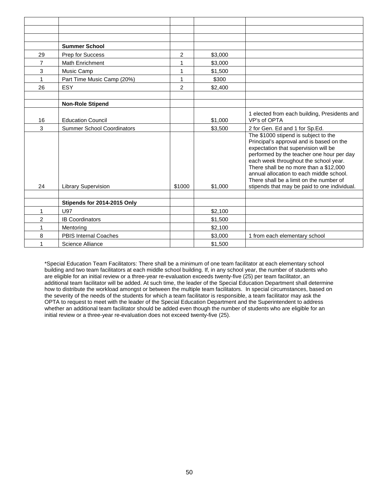|                | <b>Summer School</b>              |                |         |                                                                                                                                                                                                                                                                                                                                                                                                 |
|----------------|-----------------------------------|----------------|---------|-------------------------------------------------------------------------------------------------------------------------------------------------------------------------------------------------------------------------------------------------------------------------------------------------------------------------------------------------------------------------------------------------|
| 29             | Prep for Success                  | 2              | \$3,000 |                                                                                                                                                                                                                                                                                                                                                                                                 |
| $\overline{7}$ | Math Enrichment                   | 1              | \$3,000 |                                                                                                                                                                                                                                                                                                                                                                                                 |
| 3              | Music Camp                        | 1              | \$1,500 |                                                                                                                                                                                                                                                                                                                                                                                                 |
| 1              | Part Time Music Camp (20%)        | 1              | \$300   |                                                                                                                                                                                                                                                                                                                                                                                                 |
| 26             | ESY                               | $\overline{2}$ | \$2,400 |                                                                                                                                                                                                                                                                                                                                                                                                 |
|                |                                   |                |         |                                                                                                                                                                                                                                                                                                                                                                                                 |
|                | <b>Non-Role Stipend</b>           |                |         |                                                                                                                                                                                                                                                                                                                                                                                                 |
| 16             | <b>Education Council</b>          |                | \$1,000 | 1 elected from each building, Presidents and<br>VP's of OPTA                                                                                                                                                                                                                                                                                                                                    |
| 3              | <b>Summer School Coordinators</b> |                | \$3,500 | 2 for Gen. Ed and 1 for Sp.Ed.                                                                                                                                                                                                                                                                                                                                                                  |
| 24             | <b>Library Supervision</b>        | \$1000         | \$1,000 | The \$1000 stipend is subject to the<br>Principal's approval and is based on the<br>expectation that supervision will be<br>performed by the teacher one hour per day<br>each week throughout the school year.<br>There shall be no more than a \$12,000<br>annual allocation to each middle school.<br>There shall be a limit on the number of<br>stipends that may be paid to one individual. |
|                |                                   |                |         |                                                                                                                                                                                                                                                                                                                                                                                                 |
|                | Stipends for 2014-2015 Only       |                |         |                                                                                                                                                                                                                                                                                                                                                                                                 |
| $\mathbf{1}$   | <b>U97</b>                        |                | \$2,100 |                                                                                                                                                                                                                                                                                                                                                                                                 |
| $\overline{2}$ | <b>IB Coordinators</b>            |                | \$1,500 |                                                                                                                                                                                                                                                                                                                                                                                                 |
| 1              | Mentoring                         |                | \$2,100 |                                                                                                                                                                                                                                                                                                                                                                                                 |
| 8              | <b>PBIS Internal Coaches</b>      |                | \$3,000 | 1 from each elementary school                                                                                                                                                                                                                                                                                                                                                                   |
| 1              | Science Alliance                  |                | \$1,500 |                                                                                                                                                                                                                                                                                                                                                                                                 |

\*Special Education Team Facilitators: There shall be a minimum of one team facilitator at each elementary school building and two team facilitators at each middle school building. If, in any school year, the number of students who are eligible for an initial review or a three-year re-evaluation exceeds twenty-five (25) per team facilitator, an additional team facilitator will be added. At such time, the leader of the Special Education Department shall determine how to distribute the workload amongst or between the multiple team facilitators. In special circumstances, based on the severity of the needs of the students for which a team facilitator is responsible, a team facilitator may ask the OPTA to request to meet with the leader of the Special Education Department and the Superintendent to address whether an additional team facilitator should be added even though the number of students who are eligible for an initial review or a three-year re-evaluation does not exceed twenty-five (25).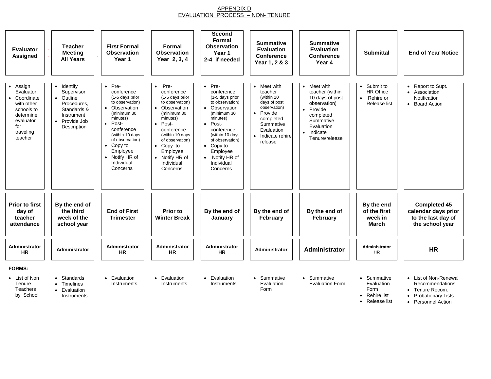# APPENDIX D EVALUATION PROCESS – NON- TENURE

<span id="page-53-1"></span><span id="page-53-0"></span>

| Evaluator<br><b>Assigned</b>                                                                                                        | <b>Teacher</b><br><b>Meeting</b><br><b>All Years</b>                                                                                    | <b>First Formal</b><br><b>Observation</b><br>Year 1                                                                                                                                                                                                                         | Formal<br><b>Observation</b><br>Year 2, 3, 4                                                                                                                                                                                                                     | Second<br>Formal<br><b>Observation</b><br>Year 1<br>2-4 if needed                                                                                                                                                                                                | <b>Summative</b><br><b>Evaluation</b><br><b>Conference</b><br>Year 1, 2 & 3                                                                                                     | <b>Summative</b><br><b>Evaluation</b><br><b>Conference</b><br>Year 4                                                                                 | <b>Submittal</b>                                                                     | <b>End of Year Notice</b>                                                                       |
|-------------------------------------------------------------------------------------------------------------------------------------|-----------------------------------------------------------------------------------------------------------------------------------------|-----------------------------------------------------------------------------------------------------------------------------------------------------------------------------------------------------------------------------------------------------------------------------|------------------------------------------------------------------------------------------------------------------------------------------------------------------------------------------------------------------------------------------------------------------|------------------------------------------------------------------------------------------------------------------------------------------------------------------------------------------------------------------------------------------------------------------|---------------------------------------------------------------------------------------------------------------------------------------------------------------------------------|------------------------------------------------------------------------------------------------------------------------------------------------------|--------------------------------------------------------------------------------------|-------------------------------------------------------------------------------------------------|
| Assign<br>$\bullet$<br>Evaluator<br>Coordinate<br>with other<br>schools to<br>determine<br>evaluator<br>for<br>traveling<br>teacher | Identify<br>$\bullet$<br>Supervisor<br>• Outline<br>Procedures,<br>Standards &<br>Instrument<br>Provide Job<br>$\bullet$<br>Description | Pre-<br>$\bullet$<br>conference<br>(1-5 days prior<br>to observation)<br>• Observation<br>(minimum 30<br>minutes)<br>Post-<br>$\bullet$<br>conference<br>(within 10 days<br>of observation)<br>Copy to<br>$\bullet$<br>Employee<br>• Notify HR of<br>Individual<br>Concerns | Pre-<br>$\bullet$<br>conference<br>(1-5 days prior<br>to observation)<br>• Observation<br>(minimum 30<br>minutes)<br>Post-<br>$\bullet$<br>conference<br>(within 10 days<br>of observation)<br>• Copy to<br>Employee<br>• Notify HR of<br>Individual<br>Concerns | Pre-<br>$\bullet$<br>conference<br>(1-5 days prior<br>to observation)<br>• Observation<br>(minimum 30<br>minutes)<br>Post-<br>$\bullet$<br>conference<br>(within 10 days<br>of observation)<br>• Copy to<br>Employee<br>• Notify HR of<br>Individual<br>Concerns | Meet with<br>$\bullet$<br>teacher<br>(within 10<br>days of post<br>observation)<br>Provide<br>$\bullet$<br>completed<br>Summative<br>Evaluation<br>· Indicate rehire<br>release | Meet with<br>teacher (within<br>10 days of post<br>observation)<br>• Provide<br>completed<br>Summative<br>Evaluation<br>· Indicate<br>Tenure/release | Submit to<br>$\bullet$<br><b>HR Office</b><br>Rehire or<br>$\bullet$<br>Release list | Report to Supt.<br>Association<br>$\bullet$<br>Notification<br><b>Board Action</b><br>$\bullet$ |
| <b>Prior to first</b><br>day of<br>teacher<br>attendance                                                                            | By the end of<br>the third<br>week of the<br>school year                                                                                | <b>End of First</b><br><b>Trimester</b>                                                                                                                                                                                                                                     | Prior to<br><b>Winter Break</b>                                                                                                                                                                                                                                  | By the end of<br>January                                                                                                                                                                                                                                         | By the end of<br>February                                                                                                                                                       | By the end of<br>February                                                                                                                            | By the end<br>of the first<br>week in<br><b>March</b>                                | <b>Completed 45</b><br>calendar days prior<br>to the last day of<br>the school year             |
| Administrator<br><b>HR</b>                                                                                                          | <b>Administrator</b>                                                                                                                    | Administrator<br><b>HR</b>                                                                                                                                                                                                                                                  | Administrator<br><b>HR</b>                                                                                                                                                                                                                                       | Administrator<br><b>HR</b>                                                                                                                                                                                                                                       | Administrator                                                                                                                                                                   | Administrator                                                                                                                                        | Administrator<br>HR.                                                                 | <b>HR</b>                                                                                       |
| <b>FORMS:</b>                                                                                                                       |                                                                                                                                         |                                                                                                                                                                                                                                                                             |                                                                                                                                                                                                                                                                  |                                                                                                                                                                                                                                                                  |                                                                                                                                                                                 |                                                                                                                                                      |                                                                                      |                                                                                                 |
| • List of Non<br>Tenure                                                                                                             | • Standards<br>• Timelines                                                                                                              | • Evaluation<br>Instruments                                                                                                                                                                                                                                                 | • Evaluation<br>Instruments                                                                                                                                                                                                                                      | • Evaluation<br>Instruments                                                                                                                                                                                                                                      | • Summative<br>Evaluation                                                                                                                                                       | • Summative<br><b>Evaluation Form</b>                                                                                                                | Summative<br>Evaluation                                                              | List of Non-Renewal<br>Recommendations                                                          |

Tenure **Teachers** 

by School

• Evaluation Instruments

Evaluation Form

Evaluation Form

Evaluation Form

Recommendations

- Tenure Recom. • Probationary Lists
- Rehire list • Release list • Personnel Action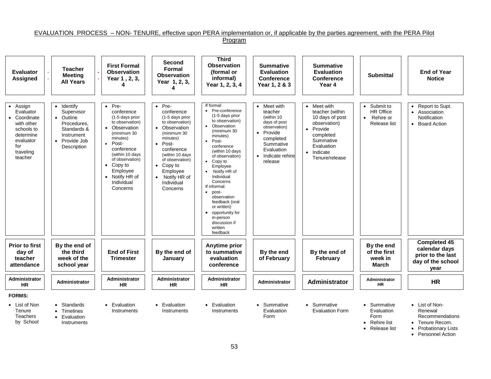#### EVALUATION PROCESS – NON- TENURE, effective upon PERA implementation or, if applicable by the parties agreement, with the PERA Pilot Program

<span id="page-54-0"></span>